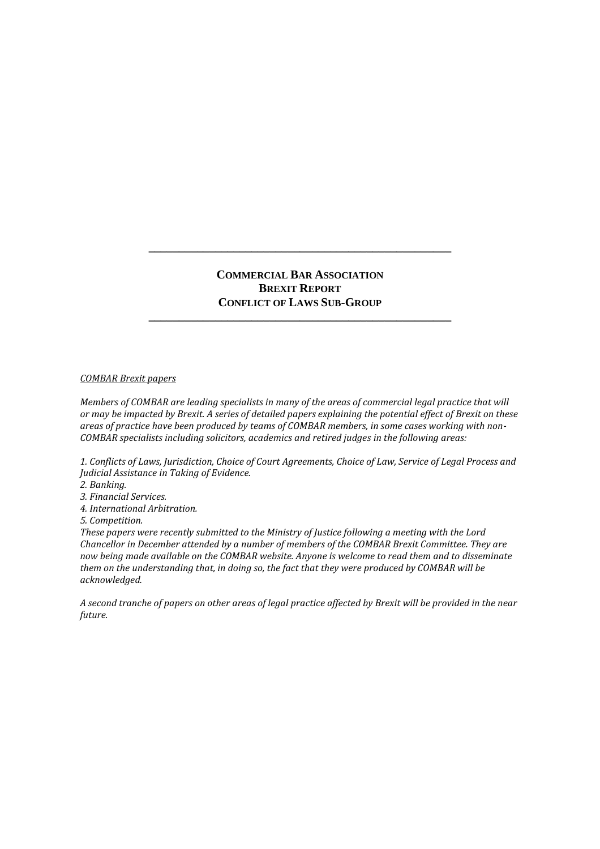### **COMMERCIAL BAR ASSOCIATION BREXIT REPORT CONFLICT OF LAWS SUB-GROUP**

**\_\_\_\_\_\_\_\_\_\_\_\_\_\_\_\_\_\_\_\_\_\_\_\_\_\_\_\_\_\_\_\_\_\_\_\_\_\_\_\_\_\_\_\_\_\_\_\_\_\_**

**\_\_\_\_\_\_\_\_\_\_\_\_\_\_\_\_\_\_\_\_\_\_\_\_\_\_\_\_\_\_\_\_\_\_\_\_\_\_\_\_\_\_\_\_\_\_\_\_\_\_**

#### *COMBAR Brexit papers*

*Members of COMBAR are leading specialists in many of the areas of commercial legal practice that will or may be impacted by Brexit. A series of detailed papers explaining the potential effect of Brexit on these areas of practice have been produced by teams of COMBAR members, in some cases working with non-COMBAR specialists including solicitors, academics and retired judges in the following areas:*

*1. Conflicts of Laws, Jurisdiction, Choice of Court Agreements, Choice of Law, Service of Legal Process and Judicial Assistance in Taking of Evidence.*

*2. Banking.*

*3. Financial Services.*

*4. International Arbitration.*

*5. Competition.*

*These papers were recently submitted to the Ministry of Justice following a meeting with the Lord Chancellor in December attended by a number of members of the COMBAR Brexit Committee. They are now being made available on the COMBAR website. Anyone is welcome to read them and to disseminate them on the understanding that, in doing so, the fact that they were produced by COMBAR will be acknowledged.*

*A second tranche of papers on other areas of legal practice affected by Brexit will be provided in the near future.*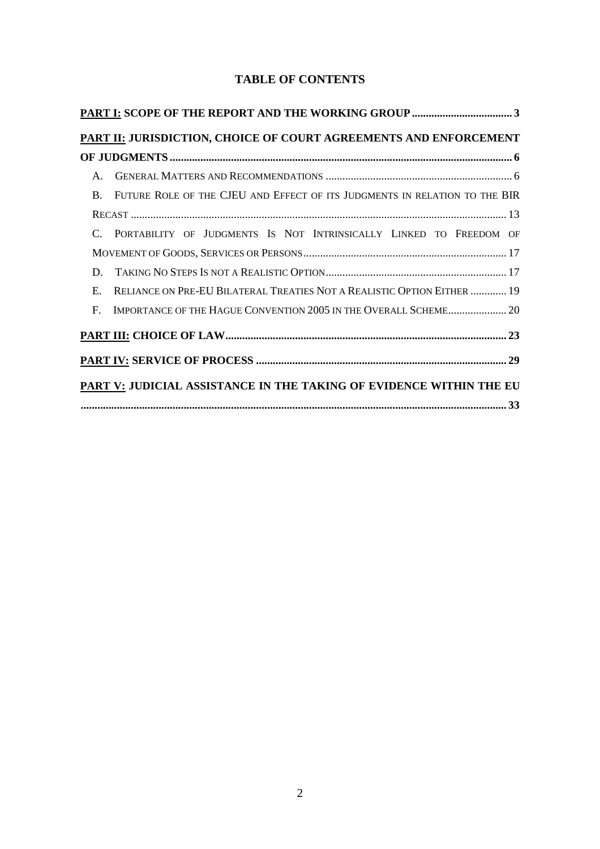# **TABLE OF CONTENTS**

|                | PART II: JURISDICTION, CHOICE OF COURT AGREEMENTS AND ENFORCEMENT          |
|----------------|----------------------------------------------------------------------------|
|                |                                                                            |
| $\mathsf{A}$ . |                                                                            |
| $\mathbf{B}$   | FUTURE ROLE OF THE CJEU AND EFFECT OF ITS JUDGMENTS IN RELATION TO THE BIR |
|                |                                                                            |
|                | C. PORTABILITY OF JUDGMENTS IS NOT INTRINSICALLY LINKED TO FREEDOM OF      |
|                |                                                                            |
| D.             |                                                                            |
| $E_{\rm c}$    | RELIANCE ON PRE-EU BILATERAL TREATIES NOT A REALISTIC OPTION EITHER  19    |
| $\mathbf{F}$ . | IMPORTANCE OF THE HAGUE CONVENTION 2005 IN THE OVERALL SCHEME 20           |
|                |                                                                            |
|                |                                                                            |
|                | PART V: JUDICIAL ASSISTANCE IN THE TAKING OF EVIDENCE WITHIN THE EU        |
|                |                                                                            |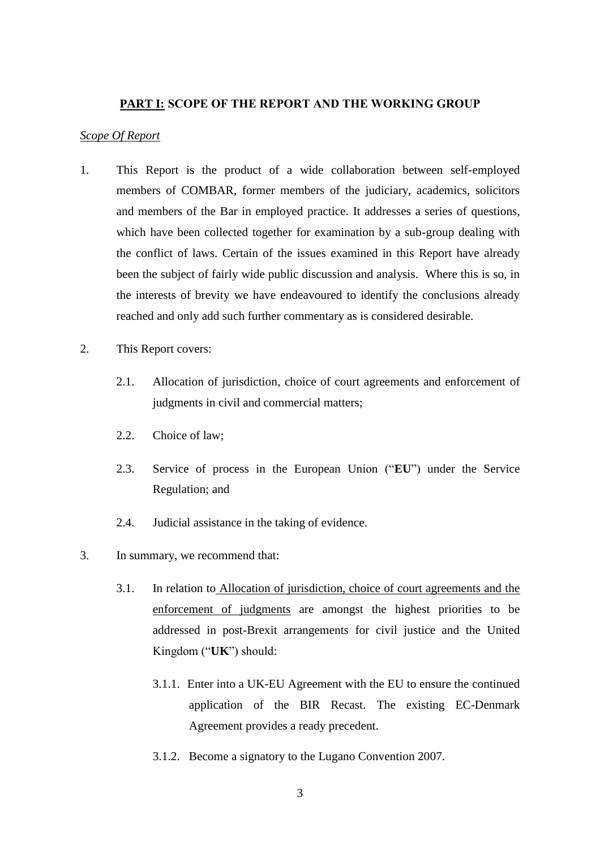### **PART I: SCOPE OF THE REPORT AND THE WORKING GROUP**

#### *Scope Of Report*

- 1. This Report is the product of a wide collaboration between self-employed members of COMBAR, former members of the judiciary, academics, solicitors and members of the Bar in employed practice. It addresses a series of questions, which have been collected together for examination by a sub-group dealing with the conflict of laws. Certain of the issues examined in this Report have already been the subject of fairly wide public discussion and analysis. Where this is so, in the interests of brevity we have endeavoured to identify the conclusions already reached and only add such further commentary as is considered desirable.
- 2. This Report covers:
	- 2.1. Allocation of jurisdiction, choice of court agreements and enforcement of judgments in civil and commercial matters;
	- 2.2. Choice of law;
	- 2.3. Service of process in the European Union ("**EU**") under the Service Regulation; and
	- 2.4. Judicial assistance in the taking of evidence.
- 3. In summary, we recommend that:
	- 3.1. In relation to Allocation of jurisdiction, choice of court agreements and the enforcement of judgments are amongst the highest priorities to be addressed in post-Brexit arrangements for civil justice and the United Kingdom ("**UK**") should:
		- 3.1.1. Enter into a UK-EU Agreement with the EU to ensure the continued application of the BIR Recast. The existing EC-Denmark Agreement provides a ready precedent.
		- 3.1.2. Become a signatory to the Lugano Convention 2007.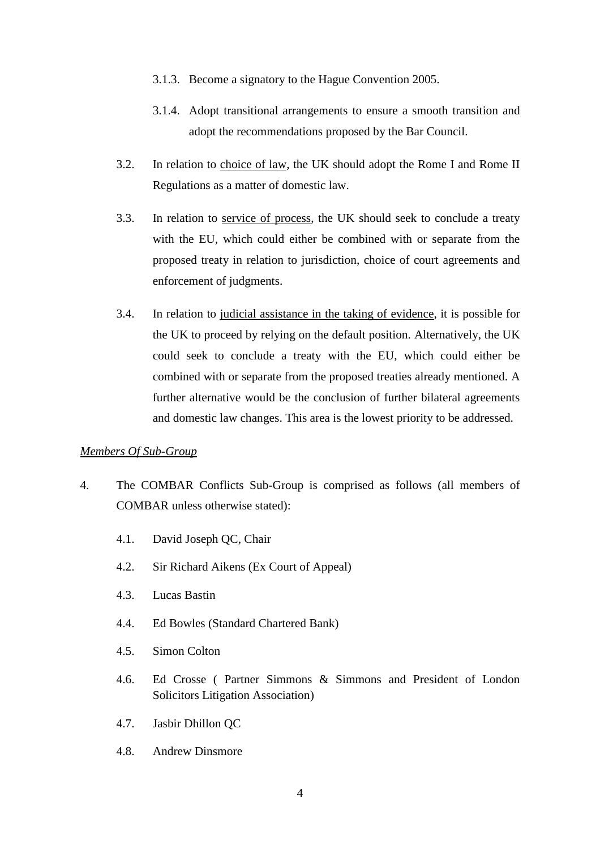- 3.1.3. Become a signatory to the Hague Convention 2005.
- 3.1.4. Adopt transitional arrangements to ensure a smooth transition and adopt the recommendations proposed by the Bar Council.
- 3.2. In relation to choice of law, the UK should adopt the Rome I and Rome II Regulations as a matter of domestic law.
- 3.3. In relation to service of process, the UK should seek to conclude a treaty with the EU, which could either be combined with or separate from the proposed treaty in relation to jurisdiction, choice of court agreements and enforcement of judgments.
- 3.4. In relation to judicial assistance in the taking of evidence, it is possible for the UK to proceed by relying on the default position. Alternatively, the UK could seek to conclude a treaty with the EU, which could either be combined with or separate from the proposed treaties already mentioned. A further alternative would be the conclusion of further bilateral agreements and domestic law changes. This area is the lowest priority to be addressed.

### *Members Of Sub-Group*

- 4. The COMBAR Conflicts Sub-Group is comprised as follows (all members of COMBAR unless otherwise stated):
	- 4.1. David Joseph QC, Chair
	- 4.2. Sir Richard Aikens (Ex Court of Appeal)
	- 4.3. Lucas Bastin
	- 4.4. Ed Bowles (Standard Chartered Bank)
	- 4.5. Simon Colton
	- 4.6. Ed Crosse ( Partner Simmons & Simmons and President of London Solicitors Litigation Association)
	- 4.7. Jasbir Dhillon QC
	- 4.8. Andrew Dinsmore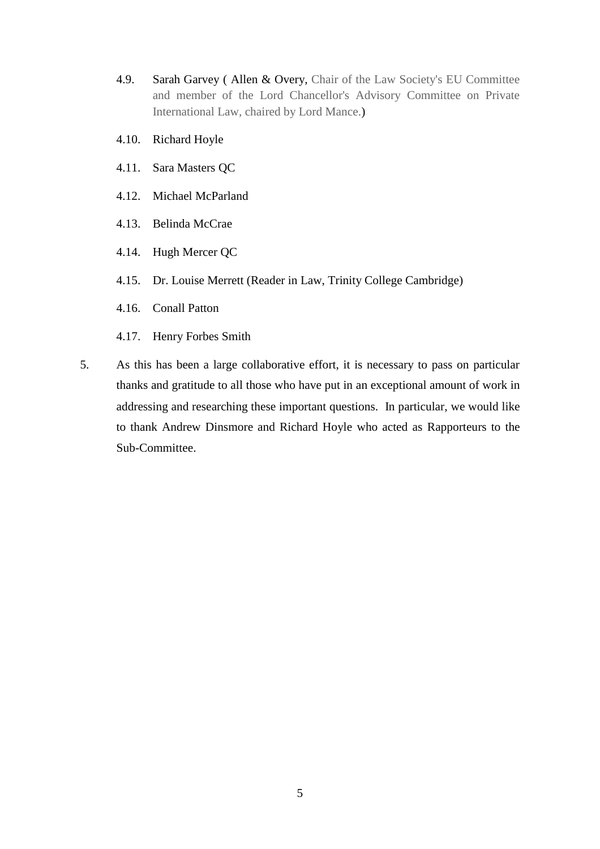- 4.9. Sarah Garvey ( Allen & Overy, Chair of the Law Society's EU Committee and member of the Lord Chancellor's Advisory Committee on Private International Law, chaired by Lord Mance.)
- 4.10. Richard Hoyle
- 4.11. Sara Masters QC
- 4.12. Michael McParland
- 4.13. Belinda McCrae
- 4.14. Hugh Mercer QC
- 4.15. Dr. Louise Merrett (Reader in Law, Trinity College Cambridge)
- 4.16. Conall Patton
- 4.17. Henry Forbes Smith
- 5. As this has been a large collaborative effort, it is necessary to pass on particular thanks and gratitude to all those who have put in an exceptional amount of work in addressing and researching these important questions. In particular, we would like to thank Andrew Dinsmore and Richard Hoyle who acted as Rapporteurs to the Sub-Committee.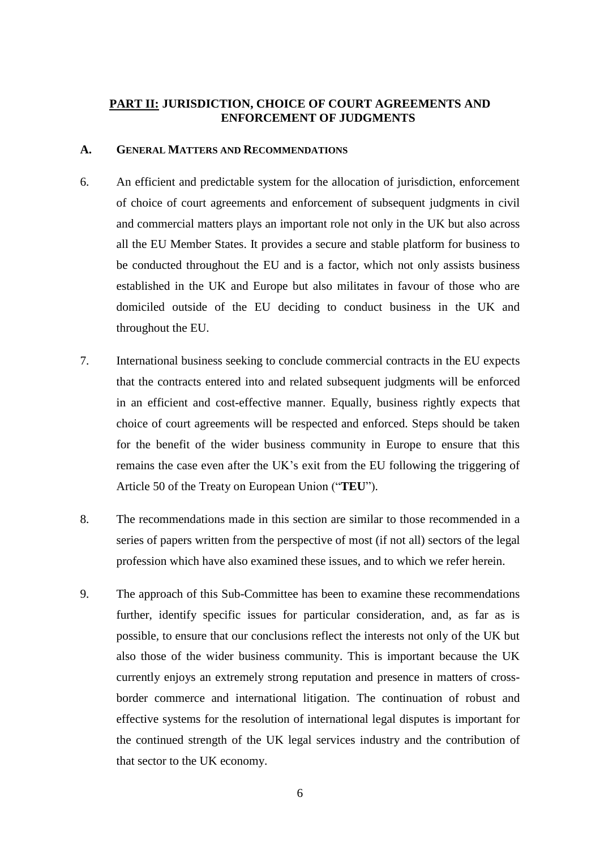### **PART II: JURISDICTION, CHOICE OF COURT AGREEMENTS AND ENFORCEMENT OF JUDGMENTS**

### **A. GENERAL MATTERS AND RECOMMENDATIONS**

- 6. An efficient and predictable system for the allocation of jurisdiction, enforcement of choice of court agreements and enforcement of subsequent judgments in civil and commercial matters plays an important role not only in the UK but also across all the EU Member States. It provides a secure and stable platform for business to be conducted throughout the EU and is a factor, which not only assists business established in the UK and Europe but also militates in favour of those who are domiciled outside of the EU deciding to conduct business in the UK and throughout the EU.
- 7. International business seeking to conclude commercial contracts in the EU expects that the contracts entered into and related subsequent judgments will be enforced in an efficient and cost-effective manner. Equally, business rightly expects that choice of court agreements will be respected and enforced. Steps should be taken for the benefit of the wider business community in Europe to ensure that this remains the case even after the UK's exit from the EU following the triggering of Article 50 of the Treaty on European Union ("**TEU**").
- 8. The recommendations made in this section are similar to those recommended in a series of papers written from the perspective of most (if not all) sectors of the legal profession which have also examined these issues, and to which we refer herein.
- 9. The approach of this Sub-Committee has been to examine these recommendations further, identify specific issues for particular consideration, and, as far as is possible, to ensure that our conclusions reflect the interests not only of the UK but also those of the wider business community. This is important because the UK currently enjoys an extremely strong reputation and presence in matters of crossborder commerce and international litigation. The continuation of robust and effective systems for the resolution of international legal disputes is important for the continued strength of the UK legal services industry and the contribution of that sector to the UK economy.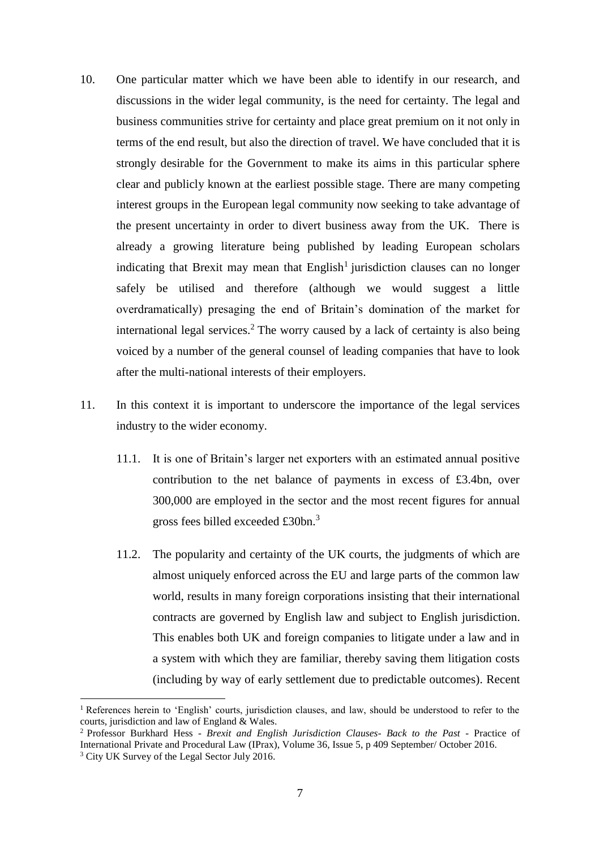- 10. One particular matter which we have been able to identify in our research, and discussions in the wider legal community, is the need for certainty. The legal and business communities strive for certainty and place great premium on it not only in terms of the end result, but also the direction of travel. We have concluded that it is strongly desirable for the Government to make its aims in this particular sphere clear and publicly known at the earliest possible stage. There are many competing interest groups in the European legal community now seeking to take advantage of the present uncertainty in order to divert business away from the UK. There is already a growing literature being published by leading European scholars indicating that Brexit may mean that  $English<sup>1</sup>$  jurisdiction clauses can no longer safely be utilised and therefore (although we would suggest a little overdramatically) presaging the end of Britain's domination of the market for international legal services.<sup>2</sup> The worry caused by a lack of certainty is also being voiced by a number of the general counsel of leading companies that have to look after the multi-national interests of their employers.
- 11. In this context it is important to underscore the importance of the legal services industry to the wider economy.
	- 11.1. It is one of Britain's larger net exporters with an estimated annual positive contribution to the net balance of payments in excess of £3.4bn, over 300,000 are employed in the sector and the most recent figures for annual gross fees billed exceeded £30bn.<sup>3</sup>
	- 11.2. The popularity and certainty of the UK courts, the judgments of which are almost uniquely enforced across the EU and large parts of the common law world, results in many foreign corporations insisting that their international contracts are governed by English law and subject to English jurisdiction. This enables both UK and foreign companies to litigate under a law and in a system with which they are familiar, thereby saving them litigation costs (including by way of early settlement due to predictable outcomes). Recent

<sup>&</sup>lt;sup>1</sup> References herein to 'English' courts, jurisdiction clauses, and law, should be understood to refer to the courts, jurisdiction and law of England & Wales.

<sup>2</sup> Professor Burkhard Hess - *Brexit and English Jurisdiction Clauses- Back to the Past* - Practice of International Private and Procedural Law (IPrax), Volume 36, Issue 5, p 409 September/ October 2016.

<sup>&</sup>lt;sup>3</sup> City UK Survey of the Legal Sector July 2016.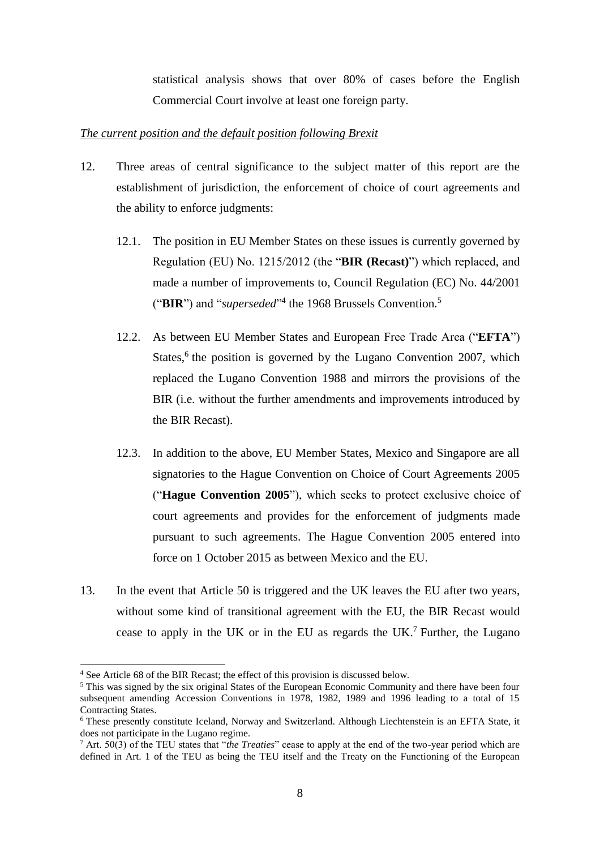statistical analysis shows that over 80% of cases before the English Commercial Court involve at least one foreign party.

### *The current position and the default position following Brexit*

- 12. Three areas of central significance to the subject matter of this report are the establishment of jurisdiction, the enforcement of choice of court agreements and the ability to enforce judgments:
	- 12.1. The position in EU Member States on these issues is currently governed by Regulation (EU) No. 1215/2012 (the "**BIR (Recast)**") which replaced, and made a number of improvements to, Council Regulation (EC) No. 44/2001 ("BIR") and "*superseded*"<sup>4</sup> the 1968 Brussels Convention.<sup>5</sup>
	- 12.2. As between EU Member States and European Free Trade Area ("**EFTA**") States,<sup>6</sup> the position is governed by the Lugano Convention 2007, which replaced the Lugano Convention 1988 and mirrors the provisions of the BIR (i.e. without the further amendments and improvements introduced by the BIR Recast).
	- 12.3. In addition to the above, EU Member States, Mexico and Singapore are all signatories to the Hague Convention on Choice of Court Agreements 2005 ("**Hague Convention 2005**"), which seeks to protect exclusive choice of court agreements and provides for the enforcement of judgments made pursuant to such agreements. The Hague Convention 2005 entered into force on 1 October 2015 as between Mexico and the EU.
- 13. In the event that Article 50 is triggered and the UK leaves the EU after two years, without some kind of transitional agreement with the EU, the BIR Recast would cease to apply in the UK or in the EU as regards the UK. <sup>7</sup> Further, the Lugano

<sup>4</sup> See Article 68 of the BIR Recast; the effect of this provision is discussed below.

<sup>5</sup> This was signed by the six original States of the European Economic Community and there have been four subsequent amending Accession Conventions in 1978, 1982, 1989 and 1996 leading to a total of 15 Contracting States.

<sup>&</sup>lt;sup>6</sup> These presently constitute Iceland, Norway and Switzerland. Although Liechtenstein is an EFTA State, it does not participate in the Lugano regime.

<sup>7</sup> Art. 50(3) of the TEU states that "*the Treaties*" cease to apply at the end of the two-year period which are defined in Art. 1 of the TEU as being the TEU itself and the Treaty on the Functioning of the European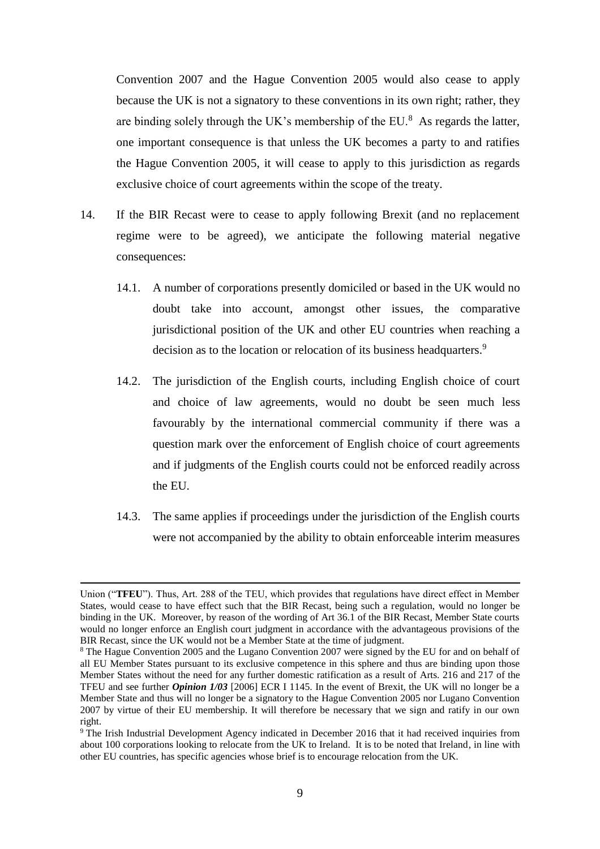Convention 2007 and the Hague Convention 2005 would also cease to apply because the UK is not a signatory to these conventions in its own right; rather, they are binding solely through the UK's membership of the EU. $^8$  As regards the latter, one important consequence is that unless the UK becomes a party to and ratifies the Hague Convention 2005, it will cease to apply to this jurisdiction as regards exclusive choice of court agreements within the scope of the treaty.

- 14. If the BIR Recast were to cease to apply following Brexit (and no replacement regime were to be agreed), we anticipate the following material negative consequences:
	- 14.1. A number of corporations presently domiciled or based in the UK would no doubt take into account, amongst other issues, the comparative jurisdictional position of the UK and other EU countries when reaching a decision as to the location or relocation of its business headquarters.<sup>9</sup>
	- 14.2. The jurisdiction of the English courts, including English choice of court and choice of law agreements, would no doubt be seen much less favourably by the international commercial community if there was a question mark over the enforcement of English choice of court agreements and if judgments of the English courts could not be enforced readily across the EU.
	- 14.3. The same applies if proceedings under the jurisdiction of the English courts were not accompanied by the ability to obtain enforceable interim measures

 $\overline{a}$ 

Union ("**TFEU**"). Thus, Art. 288 of the TEU, which provides that regulations have direct effect in Member States, would cease to have effect such that the BIR Recast, being such a regulation, would no longer be binding in the UK. Moreover, by reason of the wording of Art 36.1 of the BIR Recast, Member State courts would no longer enforce an English court judgment in accordance with the advantageous provisions of the BIR Recast, since the UK would not be a Member State at the time of judgment.

<sup>&</sup>lt;sup>8</sup> The Hague Convention 2005 and the Lugano Convention 2007 were signed by the EU for and on behalf of all EU Member States pursuant to its exclusive competence in this sphere and thus are binding upon those Member States without the need for any further domestic ratification as a result of Arts. 216 and 217 of the TFEU and see further *Opinion 1/03* [2006] ECR I 1145. In the event of Brexit, the UK will no longer be a Member State and thus will no longer be a signatory to the Hague Convention 2005 nor Lugano Convention 2007 by virtue of their EU membership. It will therefore be necessary that we sign and ratify in our own right.

<sup>9</sup> The Irish Industrial Development Agency indicated in December 2016 that it had received inquiries from about 100 corporations looking to relocate from the UK to Ireland. It is to be noted that Ireland, in line with other EU countries, has specific agencies whose brief is to encourage relocation from the UK.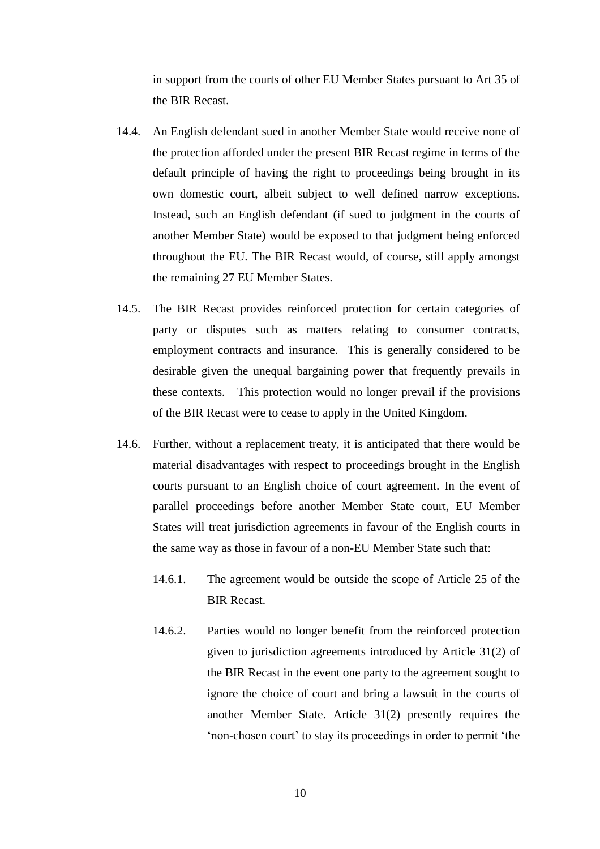in support from the courts of other EU Member States pursuant to Art 35 of the BIR Recast.

- 14.4. An English defendant sued in another Member State would receive none of the protection afforded under the present BIR Recast regime in terms of the default principle of having the right to proceedings being brought in its own domestic court, albeit subject to well defined narrow exceptions. Instead, such an English defendant (if sued to judgment in the courts of another Member State) would be exposed to that judgment being enforced throughout the EU. The BIR Recast would, of course, still apply amongst the remaining 27 EU Member States.
- 14.5. The BIR Recast provides reinforced protection for certain categories of party or disputes such as matters relating to consumer contracts, employment contracts and insurance. This is generally considered to be desirable given the unequal bargaining power that frequently prevails in these contexts. This protection would no longer prevail if the provisions of the BIR Recast were to cease to apply in the United Kingdom.
- 14.6. Further, without a replacement treaty, it is anticipated that there would be material disadvantages with respect to proceedings brought in the English courts pursuant to an English choice of court agreement. In the event of parallel proceedings before another Member State court, EU Member States will treat jurisdiction agreements in favour of the English courts in the same way as those in favour of a non-EU Member State such that:
	- 14.6.1. The agreement would be outside the scope of Article 25 of the BIR Recast.
	- 14.6.2. Parties would no longer benefit from the reinforced protection given to jurisdiction agreements introduced by Article 31(2) of the BIR Recast in the event one party to the agreement sought to ignore the choice of court and bring a lawsuit in the courts of another Member State. Article 31(2) presently requires the 'non-chosen court' to stay its proceedings in order to permit 'the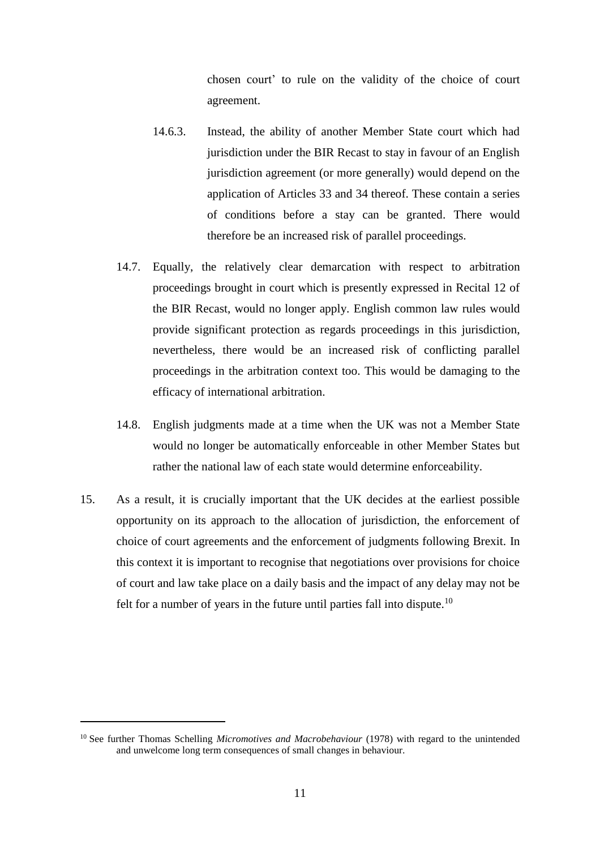chosen court' to rule on the validity of the choice of court agreement.

- 14.6.3. Instead, the ability of another Member State court which had jurisdiction under the BIR Recast to stay in favour of an English jurisdiction agreement (or more generally) would depend on the application of Articles 33 and 34 thereof. These contain a series of conditions before a stay can be granted. There would therefore be an increased risk of parallel proceedings.
- 14.7. Equally, the relatively clear demarcation with respect to arbitration proceedings brought in court which is presently expressed in Recital 12 of the BIR Recast, would no longer apply. English common law rules would provide significant protection as regards proceedings in this jurisdiction, nevertheless, there would be an increased risk of conflicting parallel proceedings in the arbitration context too. This would be damaging to the efficacy of international arbitration.
- 14.8. English judgments made at a time when the UK was not a Member State would no longer be automatically enforceable in other Member States but rather the national law of each state would determine enforceability.
- 15. As a result, it is crucially important that the UK decides at the earliest possible opportunity on its approach to the allocation of jurisdiction, the enforcement of choice of court agreements and the enforcement of judgments following Brexit. In this context it is important to recognise that negotiations over provisions for choice of court and law take place on a daily basis and the impact of any delay may not be felt for a number of years in the future until parties fall into dispute.<sup>10</sup>

<sup>10</sup> See further Thomas Schelling *Micromotives and Macrobehaviour* (1978) with regard to the unintended and unwelcome long term consequences of small changes in behaviour.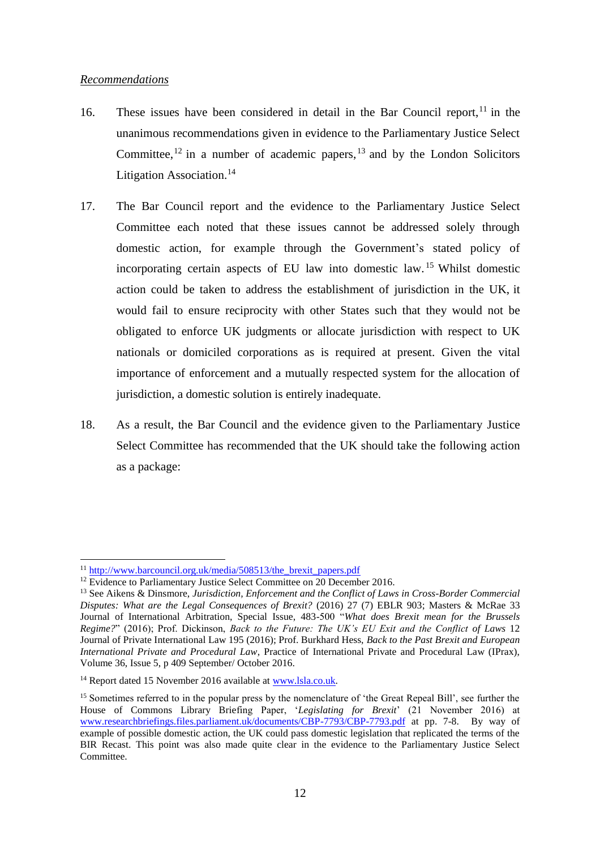### *Recommendations*

- 16. These issues have been considered in detail in the Bar Council report,  $11$  in the unanimous recommendations given in evidence to the Parliamentary Justice Select Committee,<sup>12</sup> in a number of academic papers,  $13$  and by the London Solicitors Litigation Association.<sup>14</sup>
- 17. The Bar Council report and the evidence to the Parliamentary Justice Select Committee each noted that these issues cannot be addressed solely through domestic action, for example through the Government's stated policy of incorporating certain aspects of EU law into domestic law. <sup>15</sup> Whilst domestic action could be taken to address the establishment of jurisdiction in the UK, it would fail to ensure reciprocity with other States such that they would not be obligated to enforce UK judgments or allocate jurisdiction with respect to UK nationals or domiciled corporations as is required at present. Given the vital importance of enforcement and a mutually respected system for the allocation of jurisdiction, a domestic solution is entirely inadequate.
- 18. As a result, the Bar Council and the evidence given to the Parliamentary Justice Select Committee has recommended that the UK should take the following action as a package:

<sup>&</sup>lt;sup>11</sup> http://www.barcouncil.org.uk/media/508513/the brexit papers.pdf

<sup>&</sup>lt;sup>12</sup> Evidence to Parliamentary Justice Select Committee on 20 December 2016.

<sup>13</sup> See Aikens & Dinsmore, *Jurisdiction, Enforcement and the Conflict of Laws in Cross-Border Commercial Disputes: What are the Legal Consequences of Brexit?* (2016) 27 (7) EBLR 903; Masters & McRae 33 Journal of International Arbitration, Special Issue, 483-500 "*What does Brexit mean for the Brussels Regime?*" (2016); Prof. Dickinson, *Back to the Future: The UK's EU Exit and the Conflict of Laws* 12 Journal of Private International Law 195 (2016); Prof. Burkhard Hess, *Back to the Past Brexit and European International Private and Procedural Law*, Practice of International Private and Procedural Law (IPrax), Volume 36, Issue 5, p 409 September/ October 2016.

<sup>&</sup>lt;sup>14</sup> Report dated 15 November 2016 available at [www.lsla.co.uk.](http://www.lsla.co.uk/)

<sup>&</sup>lt;sup>15</sup> Sometimes referred to in the popular press by the nomenclature of 'the Great Repeal Bill', see further the House of Commons Library Briefing Paper, '*Legislating for Brexit*' (21 November 2016) at [www.researchbriefings.files.parliament.uk/documents/CBP-7793/CBP-7793.pdf](http://www.researchbriefings.files.parliament.uk/documents/CBP-7793/CBP-7793.pdf) at pp. 7-8. By way of example of possible domestic action, the UK could pass domestic legislation that replicated the terms of the BIR Recast. This point was also made quite clear in the evidence to the Parliamentary Justice Select Committee.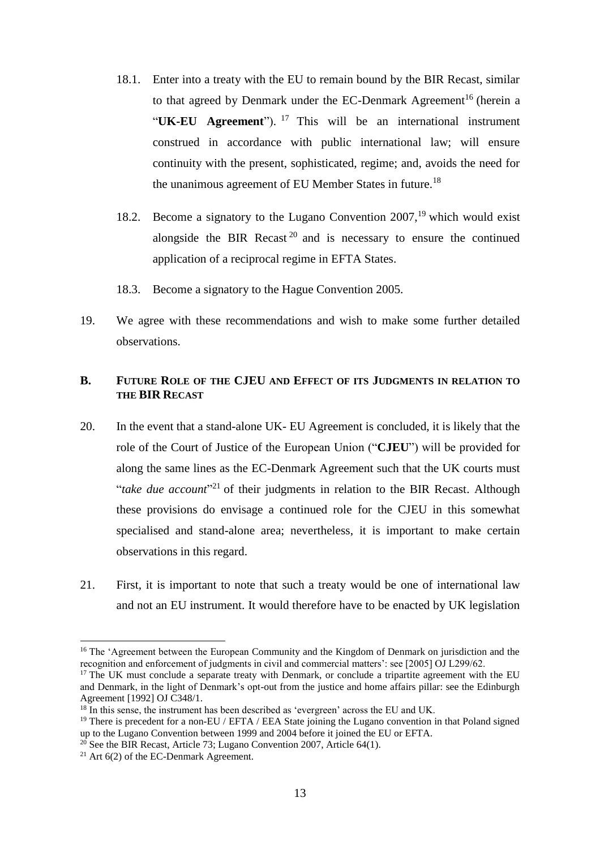- 18.1. Enter into a treaty with the EU to remain bound by the BIR Recast, similar to that agreed by Denmark under the EC-Denmark Agreement<sup>16</sup> (herein a "**UK-EU Agreement**"). <sup>17</sup> This will be an international instrument construed in accordance with public international law; will ensure continuity with the present, sophisticated, regime; and, avoids the need for the unanimous agreement of EU Member States in future.<sup>18</sup>
- 18.2. Become a signatory to the Lugano Convention  $2007$ ,<sup>19</sup> which would exist alongside the BIR Recast<sup>20</sup> and is necessary to ensure the continued application of a reciprocal regime in EFTA States.
- 18.3. Become a signatory to the Hague Convention 2005.
- 19. We agree with these recommendations and wish to make some further detailed observations.

### **B. FUTURE ROLE OF THE CJEU AND EFFECT OF ITS JUDGMENTS IN RELATION TO THE BIR RECAST**

- 20. In the event that a stand-alone UK- EU Agreement is concluded, it is likely that the role of the Court of Justice of the European Union ("**CJEU**") will be provided for along the same lines as the EC-Denmark Agreement such that the UK courts must "*take due account*"<sup>21</sup> of their judgments in relation to the BIR Recast. Although these provisions do envisage a continued role for the CJEU in this somewhat specialised and stand-alone area; nevertheless, it is important to make certain observations in this regard.
- 21. First, it is important to note that such a treaty would be one of international law and not an EU instrument. It would therefore have to be enacted by UK legislation

<sup>&</sup>lt;sup>16</sup> The 'Agreement between the European Community and the Kingdom of Denmark on jurisdiction and the recognition and enforcement of judgments in civil and commercial matters': see [2005] OJ L299/62.

<sup>&</sup>lt;sup>17</sup> The UK must conclude a separate treaty with Denmark, or conclude a tripartite agreement with the EU and Denmark, in the light of Denmark's opt-out from the justice and home affairs pillar: see the Edinburgh Agreement [1992] OJ C348/1.

<sup>&</sup>lt;sup>18</sup> In this sense, the instrument has been described as 'evergreen' across the EU and UK.

<sup>&</sup>lt;sup>19</sup> There is precedent for a non-EU / EFTA / EEA State joining the Lugano convention in that Poland signed up to the Lugano Convention between 1999 and 2004 before it joined the EU or EFTA.

 $^{20}$  See the BIR Recast, Article 73; Lugano Convention 2007, Article 64(1).

<sup>&</sup>lt;sup>21</sup> Art  $6(2)$  of the EC-Denmark Agreement.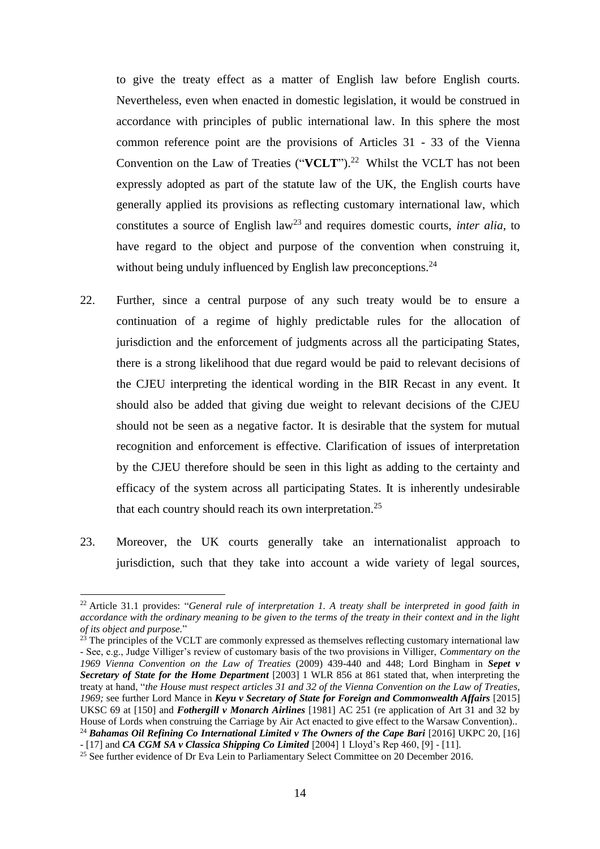to give the treaty effect as a matter of English law before English courts. Nevertheless, even when enacted in domestic legislation, it would be construed in accordance with principles of public international law. In this sphere the most common reference point are the provisions of Articles 31 - 33 of the Vienna Convention on the Law of Treaties (" $VCLT$ ").<sup>22</sup> Whilst the VCLT has not been expressly adopted as part of the statute law of the UK, the English courts have generally applied its provisions as reflecting customary international law, which constitutes a source of English law<sup>23</sup> and requires domestic courts, *inter alia*, to have regard to the object and purpose of the convention when construing it, without being unduly influenced by English law preconceptions.<sup>24</sup>

- 22. Further, since a central purpose of any such treaty would be to ensure a continuation of a regime of highly predictable rules for the allocation of jurisdiction and the enforcement of judgments across all the participating States, there is a strong likelihood that due regard would be paid to relevant decisions of the CJEU interpreting the identical wording in the BIR Recast in any event. It should also be added that giving due weight to relevant decisions of the CJEU should not be seen as a negative factor. It is desirable that the system for mutual recognition and enforcement is effective. Clarification of issues of interpretation by the CJEU therefore should be seen in this light as adding to the certainty and efficacy of the system across all participating States. It is inherently undesirable that each country should reach its own interpretation.<sup>25</sup>
- 23. Moreover, the UK courts generally take an internationalist approach to jurisdiction, such that they take into account a wide variety of legal sources,

1

<sup>22</sup> Article 31.1 provides: "*General rule of interpretation 1. A treaty shall be interpreted in good faith in accordance with the ordinary meaning to be given to the terms of the treaty in their context and in the light of its object and purpose.*"

 $23$  The principles of the VCLT are commonly expressed as themselves reflecting customary international law - See, e.g., Judge Villiger's review of customary basis of the two provisions in Villiger, *Commentary on the 1969 Vienna Convention on the Law of Treaties* (2009) 439-440 and 448; Lord Bingham in *Sepet v Secretary of State for the Home Department* [2003] 1 WLR 856 at 861 stated that, when interpreting the treaty at hand, "*the House must respect articles 31 and 32 of the Vienna Convention on the Law of Treaties, 1969;* see further Lord Mance in *Keyu v Secretary of State for Foreign and Commonwealth Affairs* [2015] UKSC 69 at [150] and *Fothergill v Monarch Airlines* [1981] AC 251 (re application of Art 31 and 32 by House of Lords when construing the Carriage by Air Act enacted to give effect to the Warsaw Convention).. <sup>24</sup> Bahamas Oil Refining Co International Limited v The Owners of the Cape Bari [2016] UKPC 20, [16]

<sup>-</sup> [17] and *CA CGM SA v Classica Shipping Co Limited* [2004] 1 Lloyd's Rep 460, [9] - [11].

<sup>&</sup>lt;sup>25</sup> See further evidence of Dr Eva Lein to Parliamentary Select Committee on 20 December 2016.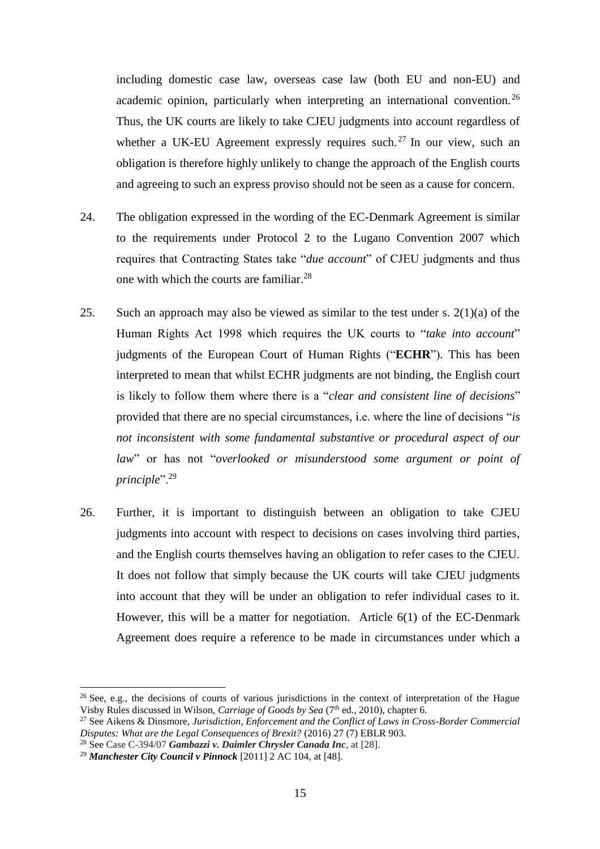including domestic case law, overseas case law (both EU and non-EU) and academic opinion, particularly when interpreting an international convention.<sup>26</sup> Thus, the UK courts are likely to take CJEU judgments into account regardless of whether a UK-EU Agreement expressly requires such.<sup>27</sup> In our view, such an obligation is therefore highly unlikely to change the approach of the English courts and agreeing to such an express proviso should not be seen as a cause for concern.

- 24. The obligation expressed in the wording of the EC-Denmark Agreement is similar to the requirements under Protocol 2 to the Lugano Convention 2007 which requires that Contracting States take "*due account*" of CJEU judgments and thus one with which the courts are familiar.<sup>28</sup>
- 25. Such an approach may also be viewed as similar to the test under s.  $2(1)(a)$  of the Human Rights Act 1998 which requires the UK courts to "*take into account*" judgments of the European Court of Human Rights ("**ECHR**"). This has been interpreted to mean that whilst ECHR judgments are not binding, the English court is likely to follow them where there is a "*clear and consistent line of decisions*" provided that there are no special circumstances, i.e. where the line of decisions "*is not inconsistent with some fundamental substantive or procedural aspect of our law*" or has not "*overlooked or misunderstood some argument or point of principle*".<sup>29</sup>
- 26. Further, it is important to distinguish between an obligation to take CJEU judgments into account with respect to decisions on cases involving third parties, and the English courts themselves having an obligation to refer cases to the CJEU. It does not follow that simply because the UK courts will take CJEU judgments into account that they will be under an obligation to refer individual cases to it. However, this will be a matter for negotiation. Article 6(1) of the EC-Denmark Agreement does require a reference to be made in circumstances under which a

<sup>28</sup> See Case C-394/07 *Gambazzi v. Daimler Chrysler Canada Inc*, at [28].

<sup>&</sup>lt;sup>26</sup> See, e.g., the decisions of courts of various jurisdictions in the context of interpretation of the Hague Visby Rules discussed in Wilson, *Carriage of Goods by Sea* (7th ed., 2010), chapter 6.

<sup>27</sup> See Aikens & Dinsmore, *Jurisdiction, Enforcement and the Conflict of Laws in Cross-Border Commercial Disputes: What are the Legal Consequences of Brexit?* (2016) 27 (7) EBLR 903.

<sup>29</sup> *Manchester City Council v Pinnock* [2011] 2 AC 104, at [48].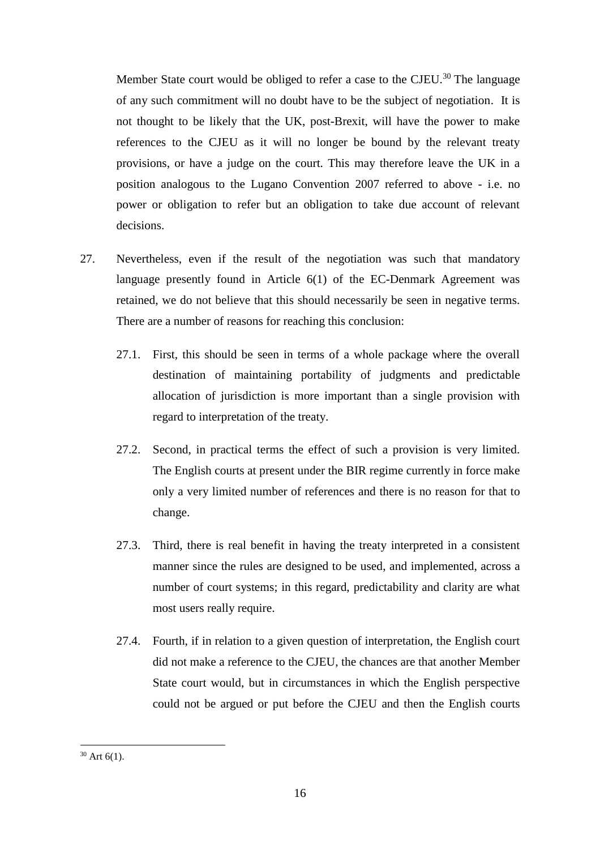Member State court would be obliged to refer a case to the CJEU.<sup>30</sup> The language of any such commitment will no doubt have to be the subject of negotiation. It is not thought to be likely that the UK, post-Brexit, will have the power to make references to the CJEU as it will no longer be bound by the relevant treaty provisions, or have a judge on the court. This may therefore leave the UK in a position analogous to the Lugano Convention 2007 referred to above - i.e. no power or obligation to refer but an obligation to take due account of relevant decisions.

- 27. Nevertheless, even if the result of the negotiation was such that mandatory language presently found in Article 6(1) of the EC-Denmark Agreement was retained, we do not believe that this should necessarily be seen in negative terms. There are a number of reasons for reaching this conclusion:
	- 27.1. First, this should be seen in terms of a whole package where the overall destination of maintaining portability of judgments and predictable allocation of jurisdiction is more important than a single provision with regard to interpretation of the treaty.
	- 27.2. Second, in practical terms the effect of such a provision is very limited. The English courts at present under the BIR regime currently in force make only a very limited number of references and there is no reason for that to change.
	- 27.3. Third, there is real benefit in having the treaty interpreted in a consistent manner since the rules are designed to be used, and implemented, across a number of court systems; in this regard, predictability and clarity are what most users really require.
	- 27.4. Fourth, if in relation to a given question of interpretation, the English court did not make a reference to the CJEU, the chances are that another Member State court would, but in circumstances in which the English perspective could not be argued or put before the CJEU and then the English courts

 $30$  Art 6(1).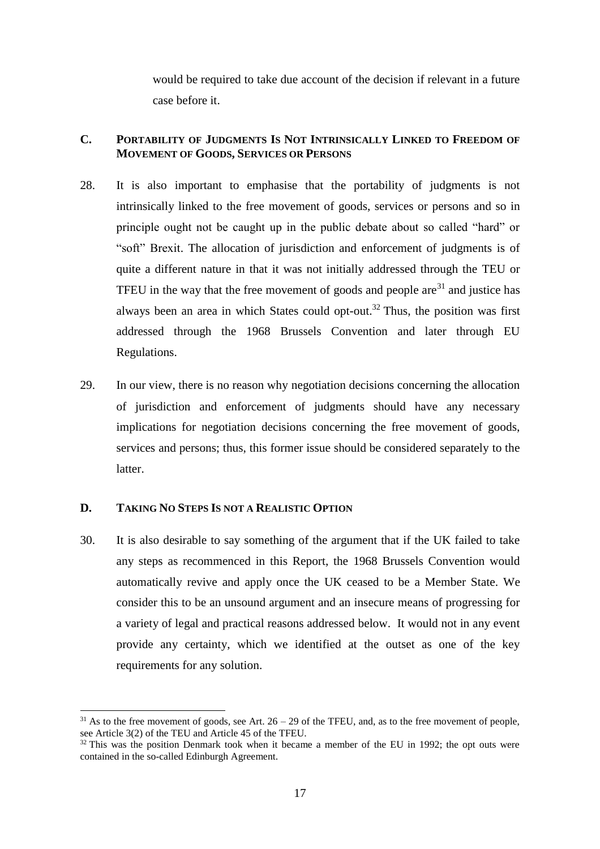would be required to take due account of the decision if relevant in a future case before it.

### **C. PORTABILITY OF JUDGMENTS IS NOT INTRINSICALLY LINKED TO FREEDOM OF MOVEMENT OF GOODS, SERVICES OR PERSONS**

- 28. It is also important to emphasise that the portability of judgments is not intrinsically linked to the free movement of goods, services or persons and so in principle ought not be caught up in the public debate about so called "hard" or "soft" Brexit. The allocation of jurisdiction and enforcement of judgments is of quite a different nature in that it was not initially addressed through the TEU or TFEU in the way that the free movement of goods and people  $are^{31}$  and justice has always been an area in which States could opt-out.<sup>32</sup> Thus, the position was first addressed through the 1968 Brussels Convention and later through EU Regulations.
- 29. In our view, there is no reason why negotiation decisions concerning the allocation of jurisdiction and enforcement of judgments should have any necessary implications for negotiation decisions concerning the free movement of goods, services and persons; thus, this former issue should be considered separately to the latter.

# **D. TAKING NO STEPS IS NOT A REALISTIC OPTION**

<u>.</u>

30. It is also desirable to say something of the argument that if the UK failed to take any steps as recommenced in this Report, the 1968 Brussels Convention would automatically revive and apply once the UK ceased to be a Member State. We consider this to be an unsound argument and an insecure means of progressing for a variety of legal and practical reasons addressed below. It would not in any event provide any certainty, which we identified at the outset as one of the key requirements for any solution.

 $31$  As to the free movement of goods, see Art.  $26 - 29$  of the TFEU, and, as to the free movement of people, see Article 3(2) of the TEU and Article 45 of the TFEU.

 $32$  This was the position Denmark took when it became a member of the EU in 1992; the opt outs were contained in the so-called Edinburgh Agreement.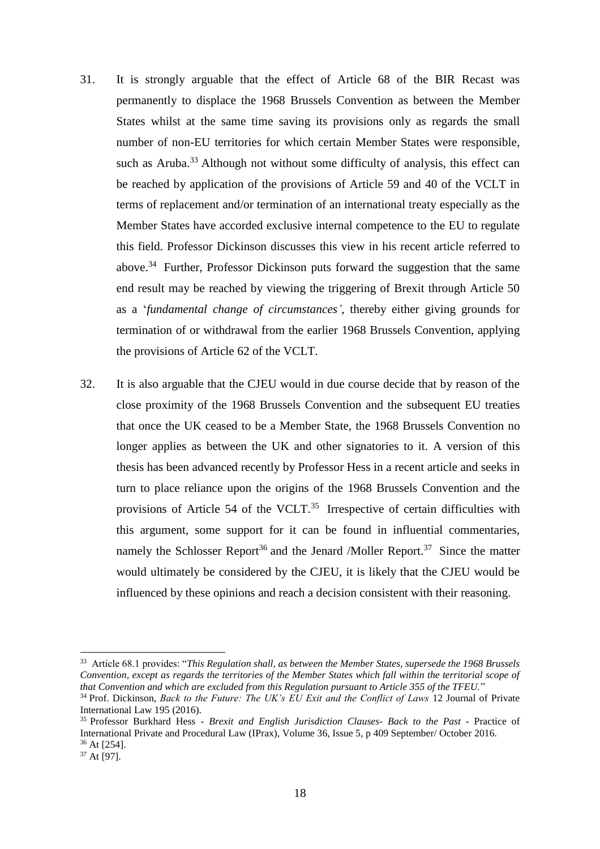- 31. It is strongly arguable that the effect of Article 68 of the BIR Recast was permanently to displace the 1968 Brussels Convention as between the Member States whilst at the same time saving its provisions only as regards the small number of non-EU territories for which certain Member States were responsible, such as Aruba.<sup>33</sup> Although not without some difficulty of analysis, this effect can be reached by application of the provisions of Article 59 and 40 of the VCLT in terms of replacement and/or termination of an international treaty especially as the Member States have accorded exclusive internal competence to the EU to regulate this field. Professor Dickinson discusses this view in his recent article referred to above.<sup>34</sup> Further, Professor Dickinson puts forward the suggestion that the same end result may be reached by viewing the triggering of Brexit through Article 50 as a '*fundamental change of circumstances'*, thereby either giving grounds for termination of or withdrawal from the earlier 1968 Brussels Convention, applying the provisions of Article 62 of the VCLT.
- 32. It is also arguable that the CJEU would in due course decide that by reason of the close proximity of the 1968 Brussels Convention and the subsequent EU treaties that once the UK ceased to be a Member State, the 1968 Brussels Convention no longer applies as between the UK and other signatories to it. A version of this thesis has been advanced recently by Professor Hess in a recent article and seeks in turn to place reliance upon the origins of the 1968 Brussels Convention and the provisions of Article 54 of the VCLT. $35$  Irrespective of certain difficulties with this argument, some support for it can be found in influential commentaries, namely the Schlosser Report<sup>36</sup> and the Jenard /Moller Report.<sup>37</sup> Since the matter would ultimately be considered by the CJEU, it is likely that the CJEU would be influenced by these opinions and reach a decision consistent with their reasoning.

 $\overline{a}$ 

<sup>33</sup> Article 68.1 provides: "*This Regulation shall, as between the Member States, supersede the 1968 Brussels Convention, except as regards the territories of the Member States which fall within the territorial scope of that Convention and which are excluded from this Regulation pursuant to Article 355 of the TFEU.*"

<sup>34</sup> Prof. Dickinson, *Back to the Future: The UK's EU Exit and the Conflict of Laws* 12 Journal of Private International Law 195 (2016).

<sup>35</sup> Professor Burkhard Hess - *Brexit and English Jurisdiction Clauses- Back to the Past* - Practice of International Private and Procedural Law (IPrax), Volume 36, Issue 5, p 409 September/ October 2016. <sup>36</sup> At [254].

<sup>37</sup> At [97].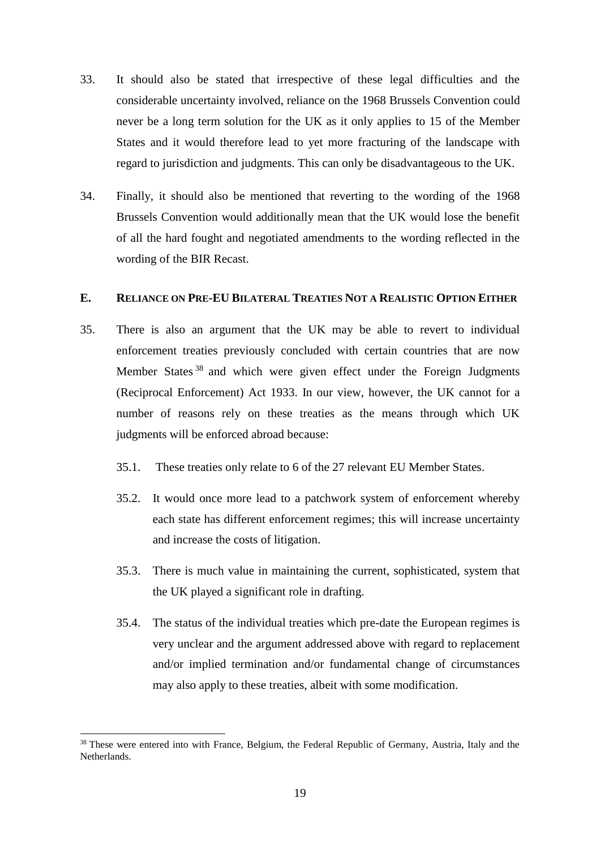- 33. It should also be stated that irrespective of these legal difficulties and the considerable uncertainty involved, reliance on the 1968 Brussels Convention could never be a long term solution for the UK as it only applies to 15 of the Member States and it would therefore lead to yet more fracturing of the landscape with regard to jurisdiction and judgments. This can only be disadvantageous to the UK.
- 34. Finally, it should also be mentioned that reverting to the wording of the 1968 Brussels Convention would additionally mean that the UK would lose the benefit of all the hard fought and negotiated amendments to the wording reflected in the wording of the BIR Recast.

### **E. RELIANCE ON PRE-EU BILATERAL TREATIES NOT A REALISTIC OPTION EITHER**

- 35. There is also an argument that the UK may be able to revert to individual enforcement treaties previously concluded with certain countries that are now Member States<sup>38</sup> and which were given effect under the Foreign Judgments (Reciprocal Enforcement) Act 1933. In our view, however, the UK cannot for a number of reasons rely on these treaties as the means through which UK judgments will be enforced abroad because:
	- 35.1. These treaties only relate to 6 of the 27 relevant EU Member States.
	- 35.2. It would once more lead to a patchwork system of enforcement whereby each state has different enforcement regimes; this will increase uncertainty and increase the costs of litigation.
	- 35.3. There is much value in maintaining the current, sophisticated, system that the UK played a significant role in drafting.
	- 35.4. The status of the individual treaties which pre-date the European regimes is very unclear and the argument addressed above with regard to replacement and/or implied termination and/or fundamental change of circumstances may also apply to these treaties, albeit with some modification.

<sup>&</sup>lt;sup>38</sup> These were entered into with France, Belgium, the Federal Republic of Germany, Austria, Italy and the Netherlands.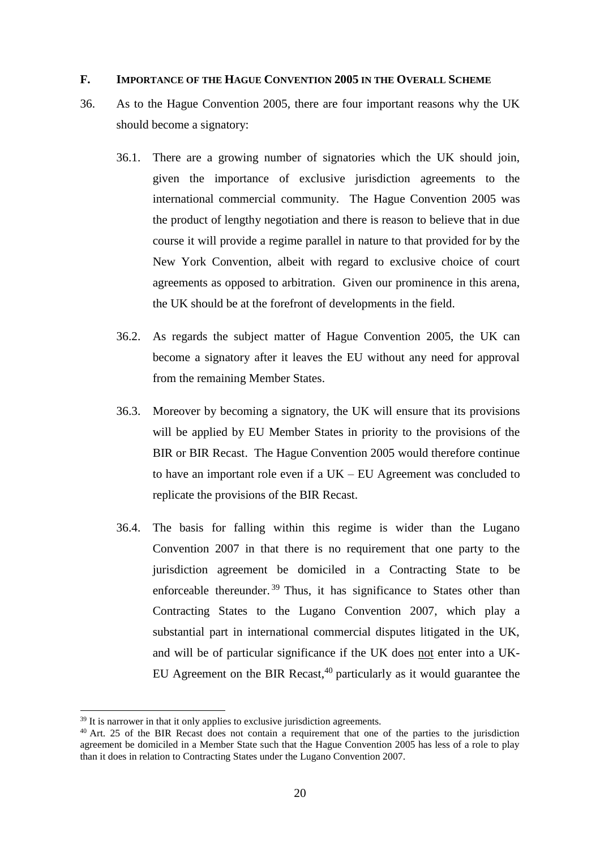#### **F. IMPORTANCE OF THE HAGUE CONVENTION 2005 IN THE OVERALL SCHEME**

- 36. As to the Hague Convention 2005, there are four important reasons why the UK should become a signatory:
	- 36.1. There are a growing number of signatories which the UK should join, given the importance of exclusive jurisdiction agreements to the international commercial community. The Hague Convention 2005 was the product of lengthy negotiation and there is reason to believe that in due course it will provide a regime parallel in nature to that provided for by the New York Convention, albeit with regard to exclusive choice of court agreements as opposed to arbitration. Given our prominence in this arena, the UK should be at the forefront of developments in the field.
	- 36.2. As regards the subject matter of Hague Convention 2005, the UK can become a signatory after it leaves the EU without any need for approval from the remaining Member States.
	- 36.3. Moreover by becoming a signatory, the UK will ensure that its provisions will be applied by EU Member States in priority to the provisions of the BIR or BIR Recast. The Hague Convention 2005 would therefore continue to have an important role even if a UK – EU Agreement was concluded to replicate the provisions of the BIR Recast.
	- 36.4. The basis for falling within this regime is wider than the Lugano Convention 2007 in that there is no requirement that one party to the jurisdiction agreement be domiciled in a Contracting State to be enforceable thereunder.<sup>39</sup> Thus, it has significance to States other than Contracting States to the Lugano Convention 2007, which play a substantial part in international commercial disputes litigated in the UK, and will be of particular significance if the UK does not enter into a UK-EU Agreement on the BIR Recast,<sup>40</sup> particularly as it would guarantee the

 $39$  It is narrower in that it only applies to exclusive jurisdiction agreements.

 $40$  Art. 25 of the BIR Recast does not contain a requirement that one of the parties to the jurisdiction agreement be domiciled in a Member State such that the Hague Convention 2005 has less of a role to play than it does in relation to Contracting States under the Lugano Convention 2007.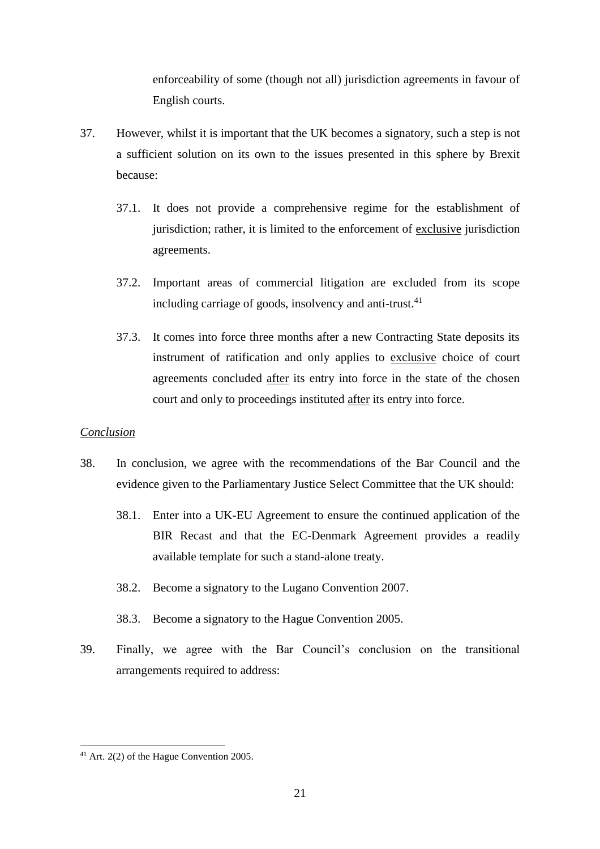enforceability of some (though not all) jurisdiction agreements in favour of English courts.

- 37. However, whilst it is important that the UK becomes a signatory, such a step is not a sufficient solution on its own to the issues presented in this sphere by Brexit because:
	- 37.1. It does not provide a comprehensive regime for the establishment of jurisdiction; rather, it is limited to the enforcement of exclusive jurisdiction agreements.
	- 37.2. Important areas of commercial litigation are excluded from its scope including carriage of goods, insolvency and anti-trust.<sup>41</sup>
	- 37.3. It comes into force three months after a new Contracting State deposits its instrument of ratification and only applies to exclusive choice of court agreements concluded after its entry into force in the state of the chosen court and only to proceedings instituted after its entry into force.

### *Conclusion*

- 38. In conclusion, we agree with the recommendations of the Bar Council and the evidence given to the Parliamentary Justice Select Committee that the UK should:
	- 38.1. Enter into a UK-EU Agreement to ensure the continued application of the BIR Recast and that the EC-Denmark Agreement provides a readily available template for such a stand-alone treaty.
	- 38.2. Become a signatory to the Lugano Convention 2007.
	- 38.3. Become a signatory to the Hague Convention 2005.
- 39. Finally, we agree with the Bar Council's conclusion on the transitional arrangements required to address:

<sup>&</sup>lt;u>.</u>  $41$  Art. 2(2) of the Hague Convention 2005.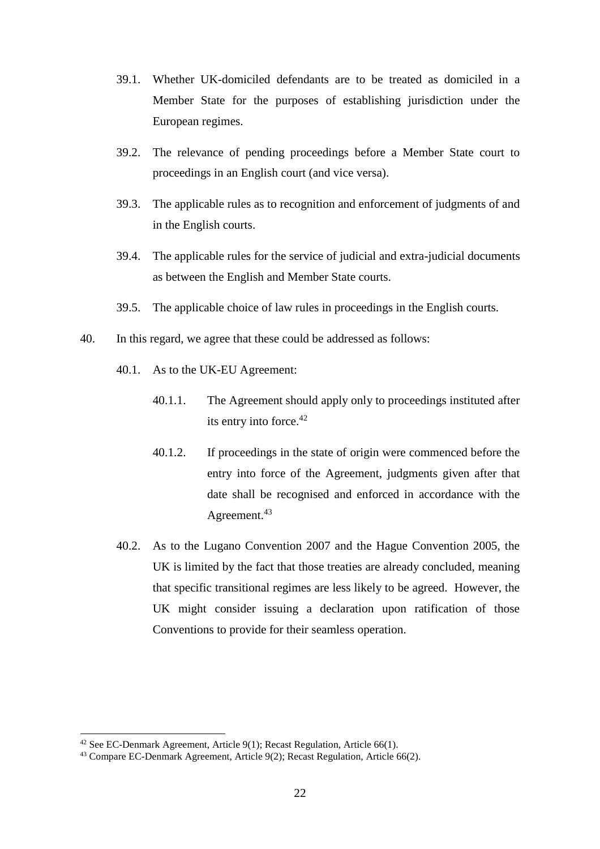- 39.1. Whether UK-domiciled defendants are to be treated as domiciled in a Member State for the purposes of establishing jurisdiction under the European regimes.
- 39.2. The relevance of pending proceedings before a Member State court to proceedings in an English court (and vice versa).
- 39.3. The applicable rules as to recognition and enforcement of judgments of and in the English courts.
- 39.4. The applicable rules for the service of judicial and extra-judicial documents as between the English and Member State courts.
- 39.5. The applicable choice of law rules in proceedings in the English courts.
- 40. In this regard, we agree that these could be addressed as follows:
	- 40.1. As to the UK-EU Agreement:
		- 40.1.1. The Agreement should apply only to proceedings instituted after its entry into force.<sup>42</sup>
		- 40.1.2. If proceedings in the state of origin were commenced before the entry into force of the Agreement, judgments given after that date shall be recognised and enforced in accordance with the Agreement.<sup>43</sup>
	- 40.2. As to the Lugano Convention 2007 and the Hague Convention 2005, the UK is limited by the fact that those treaties are already concluded, meaning that specific transitional regimes are less likely to be agreed. However, the UK might consider issuing a declaration upon ratification of those Conventions to provide for their seamless operation.

 $42$  See EC-Denmark Agreement, Article 9(1); Recast Regulation, Article 66(1).

<sup>43</sup> Compare EC-Denmark Agreement, Article 9(2); Recast Regulation, Article 66(2).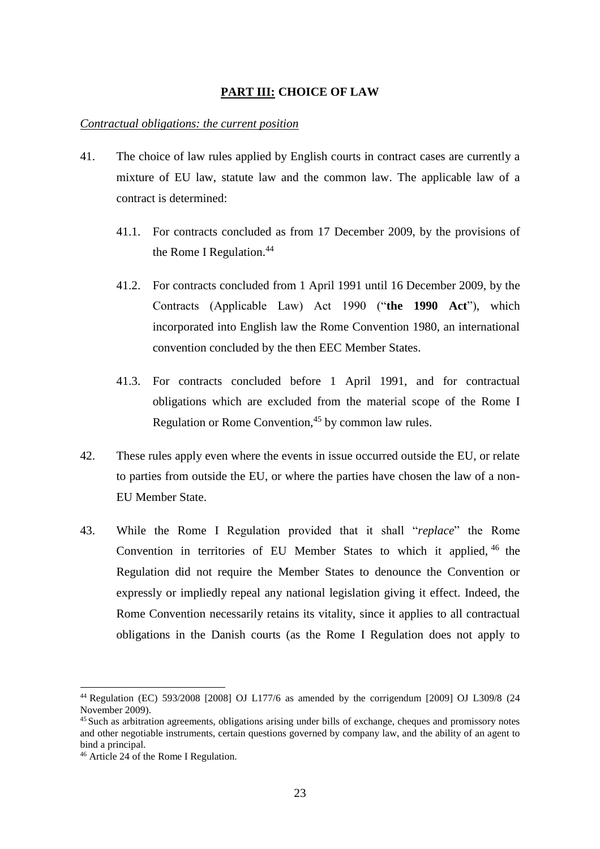### **PART III: CHOICE OF LAW**

#### *Contractual obligations: the current position*

- 41. The choice of law rules applied by English courts in contract cases are currently a mixture of EU law, statute law and the common law. The applicable law of a contract is determined:
	- 41.1. For contracts concluded as from 17 December 2009, by the provisions of the Rome I Regulation.<sup>44</sup>
	- 41.2. For contracts concluded from 1 April 1991 until 16 December 2009, by the Contracts (Applicable Law) Act 1990 ("**the 1990 Act**"), which incorporated into English law the Rome Convention 1980, an international convention concluded by the then EEC Member States.
	- 41.3. For contracts concluded before 1 April 1991, and for contractual obligations which are excluded from the material scope of the Rome I Regulation or Rome Convention,<sup>45</sup> by common law rules.
- 42. These rules apply even where the events in issue occurred outside the EU, or relate to parties from outside the EU, or where the parties have chosen the law of a non-EU Member State.
- 43. While the Rome I Regulation provided that it shall "*replace*" the Rome Convention in territories of EU Member States to which it applied, <sup>46</sup> the Regulation did not require the Member States to denounce the Convention or expressly or impliedly repeal any national legislation giving it effect. Indeed, the Rome Convention necessarily retains its vitality, since it applies to all contractual obligations in the Danish courts (as the Rome I Regulation does not apply to

<sup>44</sup> Regulation (EC) 593/2008 [2008] OJ L177/6 as amended by the corrigendum [2009] OJ L309/8 (24 November 2009).

<sup>&</sup>lt;sup>45</sup> Such as arbitration agreements, obligations arising under bills of exchange, cheques and promissory notes and other negotiable instruments, certain questions governed by company law, and the ability of an agent to bind a principal.

<sup>46</sup> Article 24 of the Rome I Regulation.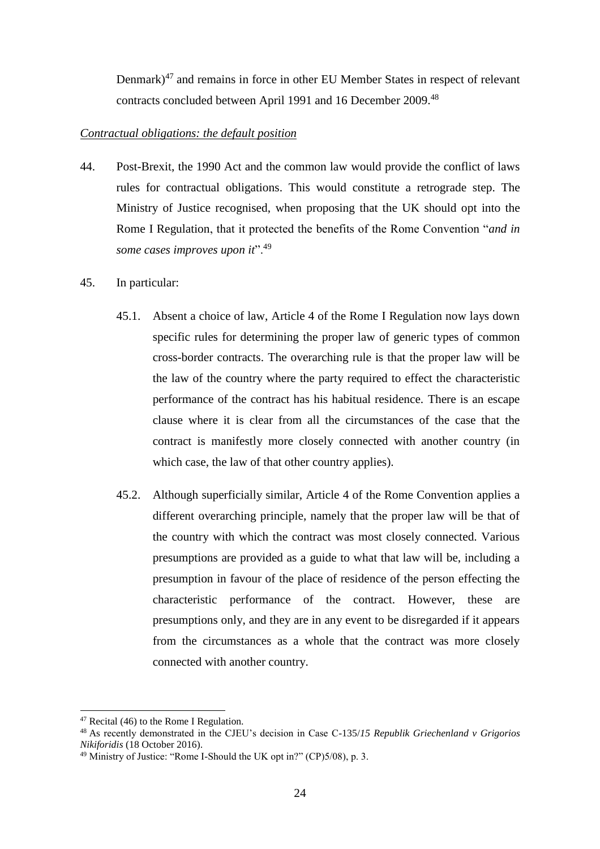Denmark)<sup>47</sup> and remains in force in other EU Member States in respect of relevant contracts concluded between April 1991 and 16 December 2009. 48

### *Contractual obligations: the default position*

- 44. Post-Brexit, the 1990 Act and the common law would provide the conflict of laws rules for contractual obligations. This would constitute a retrograde step. The Ministry of Justice recognised, when proposing that the UK should opt into the Rome I Regulation, that it protected the benefits of the Rome Convention "*and in some cases improves upon it*".<sup>49</sup>
- 45. In particular:
	- 45.1. Absent a choice of law, Article 4 of the Rome I Regulation now lays down specific rules for determining the proper law of generic types of common cross-border contracts. The overarching rule is that the proper law will be the law of the country where the party required to effect the characteristic performance of the contract has his habitual residence. There is an escape clause where it is clear from all the circumstances of the case that the contract is manifestly more closely connected with another country (in which case, the law of that other country applies).
	- 45.2. Although superficially similar, Article 4 of the Rome Convention applies a different overarching principle, namely that the proper law will be that of the country with which the contract was most closely connected. Various presumptions are provided as a guide to what that law will be, including a presumption in favour of the place of residence of the person effecting the characteristic performance of the contract. However, these are presumptions only, and they are in any event to be disregarded if it appears from the circumstances as a whole that the contract was more closely connected with another country.

<sup>&</sup>lt;sup>47</sup> Recital (46) to the Rome I Regulation.

<sup>48</sup> As recently demonstrated in the CJEU's decision in Case C-135/*15 Republik Griechenland v Grigorios Nikiforidis* (18 October 2016).

 $49$  Ministry of Justice: "Rome I-Should the UK opt in?" (CP)5/08), p. 3.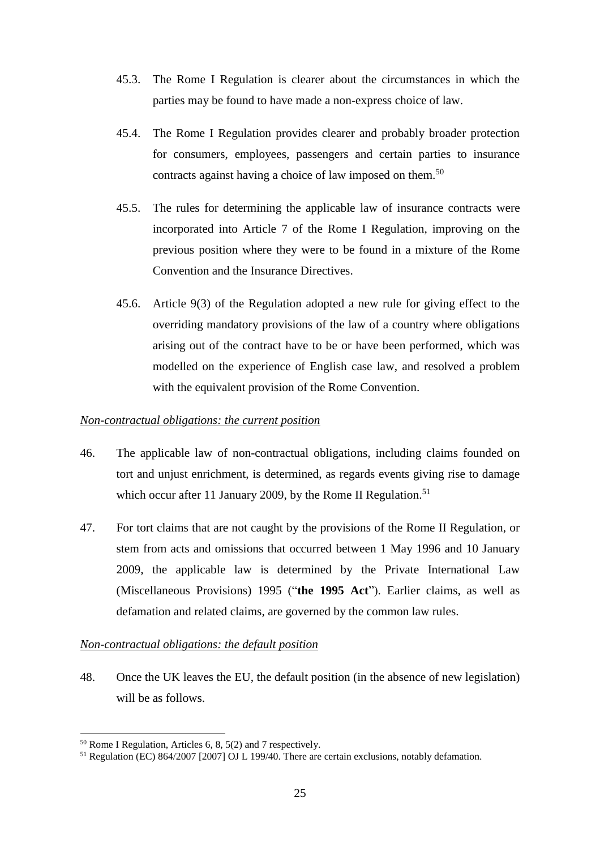- 45.3. The Rome I Regulation is clearer about the circumstances in which the parties may be found to have made a non-express choice of law.
- 45.4. The Rome I Regulation provides clearer and probably broader protection for consumers, employees, passengers and certain parties to insurance contracts against having a choice of law imposed on them.<sup>50</sup>
- 45.5. The rules for determining the applicable law of insurance contracts were incorporated into Article 7 of the Rome I Regulation, improving on the previous position where they were to be found in a mixture of the Rome Convention and the Insurance Directives.
- 45.6. Article 9(3) of the Regulation adopted a new rule for giving effect to the overriding mandatory provisions of the law of a country where obligations arising out of the contract have to be or have been performed, which was modelled on the experience of English case law, and resolved a problem with the equivalent provision of the Rome Convention.

## *Non-contractual obligations: the current position*

- 46. The applicable law of non-contractual obligations, including claims founded on tort and unjust enrichment, is determined, as regards events giving rise to damage which occur after 11 January 2009, by the Rome II Regulation.<sup>51</sup>
- 47. For tort claims that are not caught by the provisions of the Rome II Regulation, or stem from acts and omissions that occurred between 1 May 1996 and 10 January 2009, the applicable law is determined by the Private International Law (Miscellaneous Provisions) 1995 ("**the 1995 Act**"). Earlier claims, as well as defamation and related claims, are governed by the common law rules.

## *Non-contractual obligations: the default position*

48. Once the UK leaves the EU, the default position (in the absence of new legislation) will be as follows.

<sup>50</sup> Rome I Regulation, Articles 6, 8, 5(2) and 7 respectively.

<sup>51</sup> Regulation (EC) 864/2007 [2007] OJ L 199/40. There are certain exclusions, notably defamation.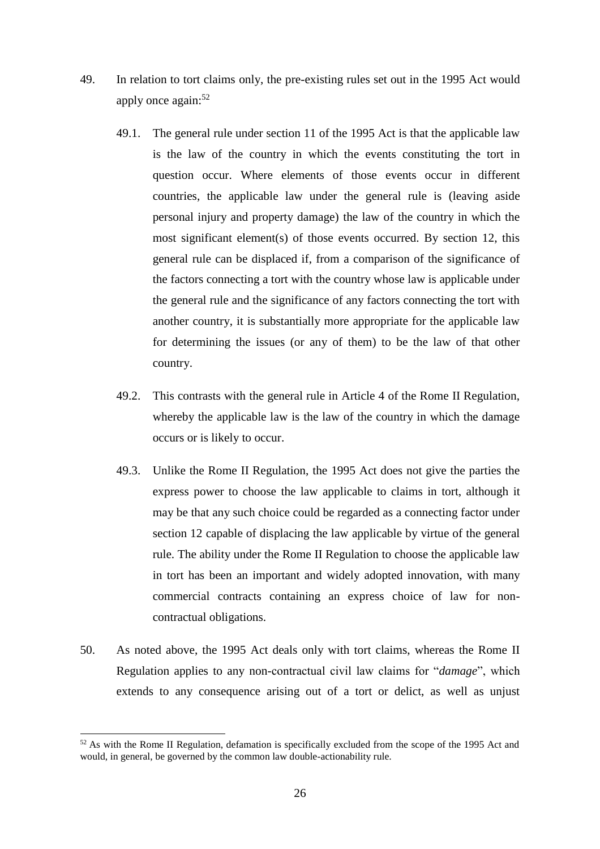- 49. In relation to tort claims only, the pre-existing rules set out in the 1995 Act would apply once again:<sup>52</sup>
	- 49.1. The general rule under section 11 of the 1995 Act is that the applicable law is the law of the country in which the events constituting the tort in question occur. Where elements of those events occur in different countries, the applicable law under the general rule is (leaving aside personal injury and property damage) the law of the country in which the most significant element(s) of those events occurred. By section 12, this general rule can be displaced if, from a comparison of the significance of the factors connecting a tort with the country whose law is applicable under the general rule and the significance of any factors connecting the tort with another country, it is substantially more appropriate for the applicable law for determining the issues (or any of them) to be the law of that other country.
	- 49.2. This contrasts with the general rule in Article 4 of the Rome II Regulation, whereby the applicable law is the law of the country in which the damage occurs or is likely to occur.
	- 49.3. Unlike the Rome II Regulation, the 1995 Act does not give the parties the express power to choose the law applicable to claims in tort, although it may be that any such choice could be regarded as a connecting factor under section 12 capable of displacing the law applicable by virtue of the general rule. The ability under the Rome II Regulation to choose the applicable law in tort has been an important and widely adopted innovation, with many commercial contracts containing an express choice of law for noncontractual obligations.
- 50. As noted above, the 1995 Act deals only with tort claims, whereas the Rome II Regulation applies to any non-contractual civil law claims for "*damage*", which extends to any consequence arising out of a tort or delict, as well as unjust

 $52$  As with the Rome II Regulation, defamation is specifically excluded from the scope of the 1995 Act and would, in general, be governed by the common law double-actionability rule.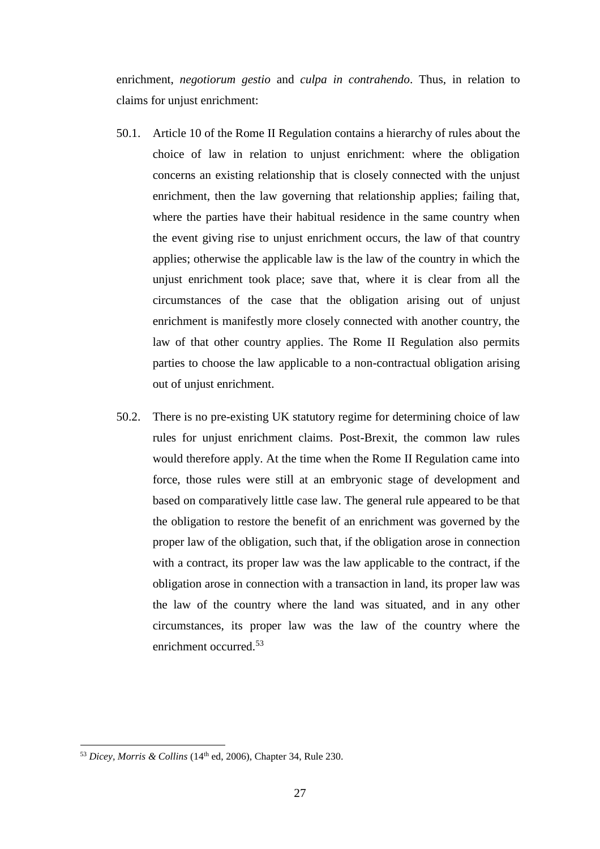enrichment, *negotiorum gestio* and *culpa in contrahendo*. Thus, in relation to claims for unjust enrichment:

- 50.1. Article 10 of the Rome II Regulation contains a hierarchy of rules about the choice of law in relation to unjust enrichment: where the obligation concerns an existing relationship that is closely connected with the unjust enrichment, then the law governing that relationship applies; failing that, where the parties have their habitual residence in the same country when the event giving rise to unjust enrichment occurs, the law of that country applies; otherwise the applicable law is the law of the country in which the unjust enrichment took place; save that, where it is clear from all the circumstances of the case that the obligation arising out of unjust enrichment is manifestly more closely connected with another country, the law of that other country applies. The Rome II Regulation also permits parties to choose the law applicable to a non-contractual obligation arising out of unjust enrichment.
- 50.2. There is no pre-existing UK statutory regime for determining choice of law rules for unjust enrichment claims. Post-Brexit, the common law rules would therefore apply. At the time when the Rome II Regulation came into force, those rules were still at an embryonic stage of development and based on comparatively little case law. The general rule appeared to be that the obligation to restore the benefit of an enrichment was governed by the proper law of the obligation, such that, if the obligation arose in connection with a contract, its proper law was the law applicable to the contract, if the obligation arose in connection with a transaction in land, its proper law was the law of the country where the land was situated, and in any other circumstances, its proper law was the law of the country where the enrichment occurred.<sup>53</sup>

<sup>&</sup>lt;u>.</u>  $53$  *Dicey, Morris & Collins* (14<sup>th</sup> ed, 2006), Chapter 34, Rule 230.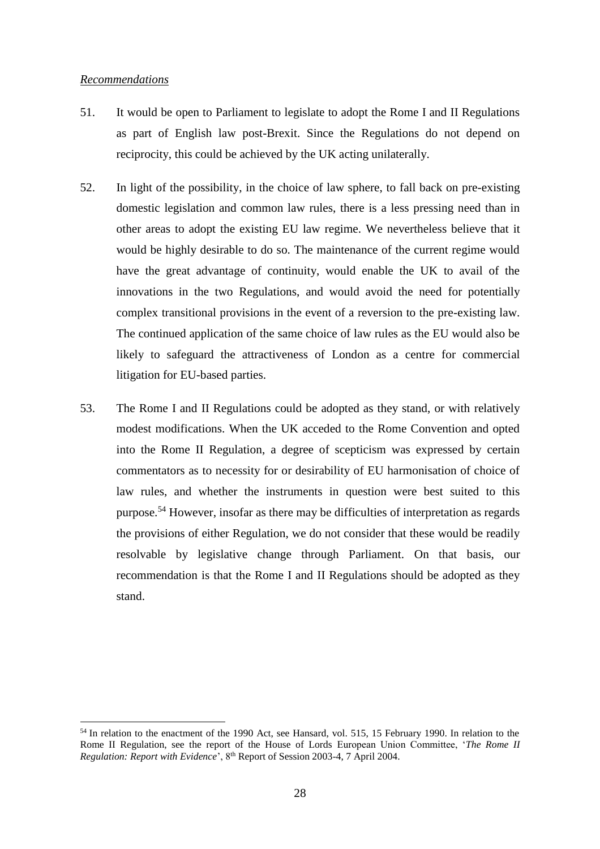#### *Recommendations*

 $\overline{a}$ 

- 51. It would be open to Parliament to legislate to adopt the Rome I and II Regulations as part of English law post-Brexit. Since the Regulations do not depend on reciprocity, this could be achieved by the UK acting unilaterally.
- 52. In light of the possibility, in the choice of law sphere, to fall back on pre-existing domestic legislation and common law rules, there is a less pressing need than in other areas to adopt the existing EU law regime. We nevertheless believe that it would be highly desirable to do so. The maintenance of the current regime would have the great advantage of continuity, would enable the UK to avail of the innovations in the two Regulations, and would avoid the need for potentially complex transitional provisions in the event of a reversion to the pre-existing law. The continued application of the same choice of law rules as the EU would also be likely to safeguard the attractiveness of London as a centre for commercial litigation for EU-based parties.
- 53. The Rome I and II Regulations could be adopted as they stand, or with relatively modest modifications. When the UK acceded to the Rome Convention and opted into the Rome II Regulation, a degree of scepticism was expressed by certain commentators as to necessity for or desirability of EU harmonisation of choice of law rules, and whether the instruments in question were best suited to this purpose.<sup>54</sup> However, insofar as there may be difficulties of interpretation as regards the provisions of either Regulation, we do not consider that these would be readily resolvable by legislative change through Parliament. On that basis, our recommendation is that the Rome I and II Regulations should be adopted as they stand.

<sup>&</sup>lt;sup>54</sup> In relation to the enactment of the 1990 Act, see Hansard, vol. 515, 15 February 1990. In relation to the Rome II Regulation, see the report of the House of Lords European Union Committee, '*The Rome II Regulation: Report with Evidence*', 8th Report of Session 2003-4, 7 April 2004.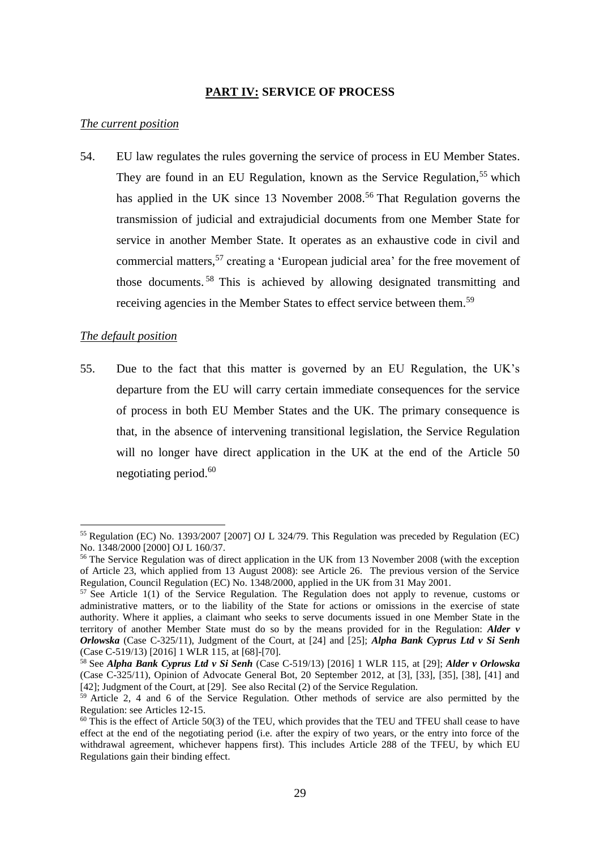### **PART IV: SERVICE OF PROCESS**

#### *The current position*

54. EU law regulates the rules governing the service of process in EU Member States. They are found in an EU Regulation, known as the Service Regulation,<sup>55</sup> which has applied in the UK since 13 November  $2008$ <sup>56</sup> That Regulation governs the transmission of judicial and extrajudicial documents from one Member State for service in another Member State. It operates as an exhaustive code in civil and commercial matters,<sup>57</sup> creating a 'European judicial area' for the free movement of those documents. <sup>58</sup> This is achieved by allowing designated transmitting and receiving agencies in the Member States to effect service between them.<sup>59</sup>

#### *The default position*

 $\overline{a}$ 

55. Due to the fact that this matter is governed by an EU Regulation, the UK's departure from the EU will carry certain immediate consequences for the service of process in both EU Member States and the UK. The primary consequence is that, in the absence of intervening transitional legislation, the Service Regulation will no longer have direct application in the UK at the end of the Article 50 negotiating period. $60$ 

<sup>55</sup> Regulation (EC) No. 1393/2007 [2007] OJ L 324/79. This Regulation was preceded by Regulation (EC) No. 1348/2000 [2000] OJ L 160/37.

<sup>&</sup>lt;sup>56</sup> The Service Regulation was of direct application in the UK from 13 November 2008 (with the exception of Article 23, which applied from 13 August 2008): see Article 26. The previous version of the Service Regulation, Council Regulation (EC) No. 1348/2000, applied in the UK from 31 May 2001.

 $57$  See Article 1(1) of the Service Regulation. The Regulation does not apply to revenue, customs or administrative matters, or to the liability of the State for actions or omissions in the exercise of state authority. Where it applies, a claimant who seeks to serve documents issued in one Member State in the territory of another Member State must do so by the means provided for in the Regulation: *Alder v Orlowska* (Case C-325/11), Judgment of the Court, at [24] and [25]; *Alpha Bank Cyprus Ltd v Si Senh* (Case C-519/13) [2016] 1 WLR 115, at [68]-[70].

<sup>58</sup> See *Alpha Bank Cyprus Ltd v Si Senh* (Case C-519/13) [2016] 1 WLR 115, at [29]; *Alder v Orlowska* (Case C-325/11), Opinion of Advocate General Bot, 20 September 2012, at [3], [33], [35], [38], [41] and [42]; Judgment of the Court, at [29]. See also Recital (2) of the Service Regulation.

<sup>59</sup> Article 2, 4 and 6 of the Service Regulation. Other methods of service are also permitted by the Regulation: see Articles 12-15.

 $60$  This is the effect of Article 50(3) of the TEU, which provides that the TEU and TFEU shall cease to have effect at the end of the negotiating period (i.e. after the expiry of two years, or the entry into force of the withdrawal agreement, whichever happens first). This includes Article 288 of the TFEU, by which EU Regulations gain their binding effect.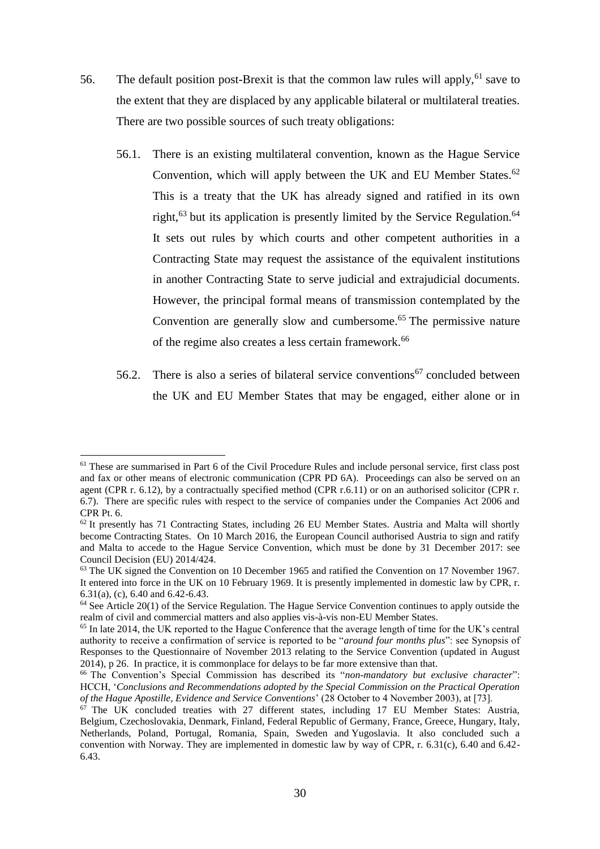- 56. The default position post-Brexit is that the common law rules will apply,  $61$  save to the extent that they are displaced by any applicable bilateral or multilateral treaties. There are two possible sources of such treaty obligations:
	- 56.1. There is an existing multilateral convention, known as the Hague Service Convention, which will apply between the UK and EU Member States. $62$ This is a treaty that the UK has already signed and ratified in its own right,<sup>63</sup> but its application is presently limited by the Service Regulation.<sup>64</sup> It sets out rules by which courts and other competent authorities in a Contracting State may request the assistance of the equivalent institutions in another Contracting State to serve judicial and extrajudicial documents. However, the principal formal means of transmission contemplated by the Convention are generally slow and cumbersome.<sup>65</sup> The permissive nature of the regime also creates a less certain framework.<sup>66</sup>
	- 56.2. There is also a series of bilateral service conventions<sup>67</sup> concluded between the UK and EU Member States that may be engaged, either alone or in

 $\overline{a}$ 

<sup>&</sup>lt;sup>61</sup> These are summarised in Part 6 of the Civil Procedure Rules and include personal service, first class post and fax or other means of electronic communication (CPR PD 6A). Proceedings can also be served on an agent (CPR r. 6.12), by a contractually specified method (CPR r.6.11) or on an authorised solicitor (CPR r. 6.7). There are specific rules with respect to the service of companies under the Companies Act 2006 and CPR Pt. 6.

<sup>62</sup> It presently has 71 Contracting States, including 26 EU Member States. Austria and Malta will shortly become Contracting States. On 10 March 2016, the European Council authorised Austria to sign and ratify and Malta to accede to the Hague Service Convention, which must be done by 31 December 2017: see Council Decision (EU) 2014/424.

<sup>&</sup>lt;sup>63</sup> The UK signed the Convention on 10 December 1965 and ratified the Convention on 17 November 1967. It entered into force in the UK on 10 February 1969. It is presently implemented in domestic law by CPR, r. 6.31(a), (c), 6.40 and 6.42-6.43.

 $64$  See Article 20(1) of the Service Regulation. The Hague Service Convention continues to apply outside the realm of civil and commercial matters and also applies vis-à-vis non-EU Member States.

<sup>&</sup>lt;sup>65</sup> In late 2014, the UK reported to the Hague Conference that the average length of time for the UK's central authority to receive a confirmation of service is reported to be "*around four months plus*": see Synopsis of Responses to the Questionnaire of November 2013 relating to the Service Convention (updated in August 2014), p 26. In practice, it is commonplace for delays to be far more extensive than that.

<sup>66</sup> The Convention's Special Commission has described its "*non-mandatory but exclusive character*": HCCH, '*Conclusions and Recommendations adopted by the Special Commission on the Practical Operation of the Hague Apostille, Evidence and Service Conventions*' (28 October to 4 November 2003), at [73].

 $67$  The UK concluded treaties with 27 different states, including 17 EU Member States: Austria, Belgium, Czechoslovakia, Denmark, Finland, Federal Republic of Germany, France, Greece, Hungary, Italy, Netherlands, Poland, Portugal, Romania, Spain, Sweden and Yugoslavia. It also concluded such a convention with Norway. They are implemented in domestic law by way of CPR, r. 6.31(c), 6.40 and 6.42- 6.43.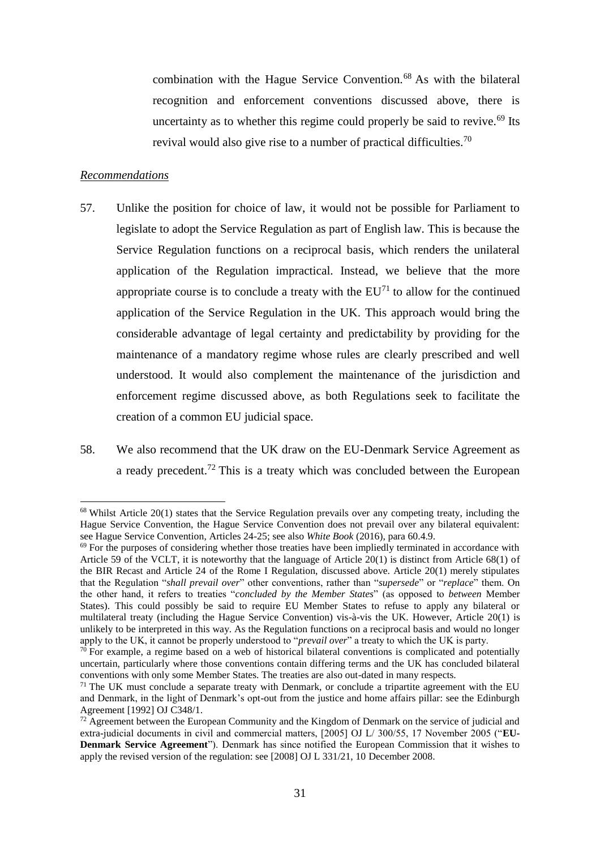combination with the Hague Service Convention.<sup>68</sup> As with the bilateral recognition and enforcement conventions discussed above, there is uncertainty as to whether this regime could properly be said to revive.<sup>69</sup> Its revival would also give rise to a number of practical difficulties.<sup>70</sup>

### *Recommendations*

 $\overline{a}$ 

- 57. Unlike the position for choice of law, it would not be possible for Parliament to legislate to adopt the Service Regulation as part of English law. This is because the Service Regulation functions on a reciprocal basis, which renders the unilateral application of the Regulation impractical. Instead, we believe that the more appropriate course is to conclude a treaty with the  $EU<sup>71</sup>$  to allow for the continued application of the Service Regulation in the UK. This approach would bring the considerable advantage of legal certainty and predictability by providing for the maintenance of a mandatory regime whose rules are clearly prescribed and well understood. It would also complement the maintenance of the jurisdiction and enforcement regime discussed above, as both Regulations seek to facilitate the creation of a common EU judicial space.
- 58. We also recommend that the UK draw on the EU-Denmark Service Agreement as a ready precedent.<sup>72</sup> This is a treaty which was concluded between the European

<sup>&</sup>lt;sup>68</sup> Whilst Article 20(1) states that the Service Regulation prevails over any competing treaty, including the Hague Service Convention, the Hague Service Convention does not prevail over any bilateral equivalent: see Hague Service Convention, Articles 24-25; see also *White Book* (2016), para 60.4.9.

<sup>&</sup>lt;sup>69</sup> For the purposes of considering whether those treaties have been impliedly terminated in accordance with Article 59 of the VCLT, it is noteworthy that the language of Article 20(1) is distinct from Article 68(1) of the BIR Recast and Article 24 of the Rome I Regulation, discussed above. Article 20(1) merely stipulates that the Regulation "*shall prevail over*" other conventions, rather than "*supersede*" or "*replace*" them. On the other hand, it refers to treaties "*concluded by the Member States*" (as opposed to *between* Member States). This could possibly be said to require EU Member States to refuse to apply any bilateral or multilateral treaty (including the Hague Service Convention) vis-à-vis the UK. However, Article 20(1) is unlikely to be interpreted in this way. As the Regulation functions on a reciprocal basis and would no longer apply to the UK, it cannot be properly understood to "*prevail over*" a treaty to which the UK is party.

 $70$  For example, a regime based on a web of historical bilateral conventions is complicated and potentially uncertain, particularly where those conventions contain differing terms and the UK has concluded bilateral conventions with only some Member States. The treaties are also out-dated in many respects.

 $71$  The UK must conclude a separate treaty with Denmark, or conclude a tripartite agreement with the EU and Denmark, in the light of Denmark's opt-out from the justice and home affairs pillar: see the Edinburgh Agreement [1992] OJ C348/1.

 $72$  Agreement between the European Community and the Kingdom of Denmark on the service of judicial and extra-judicial documents in civil and commercial matters, [2005] OJ L/ 300/55, 17 November 2005 ("**EU-Denmark Service Agreement**"). Denmark has since notified the European Commission that it wishes to apply the revised version of the regulation: see [2008] OJ L 331/21, 10 December 2008.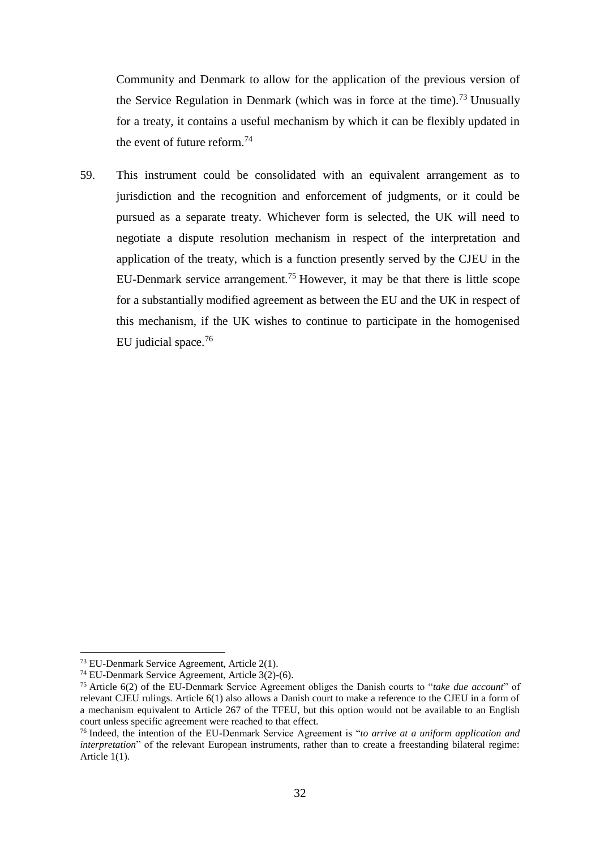Community and Denmark to allow for the application of the previous version of the Service Regulation in Denmark (which was in force at the time).<sup>73</sup> Unusually for a treaty, it contains a useful mechanism by which it can be flexibly updated in the event of future reform.<sup>74</sup>

59. This instrument could be consolidated with an equivalent arrangement as to jurisdiction and the recognition and enforcement of judgments, or it could be pursued as a separate treaty. Whichever form is selected, the UK will need to negotiate a dispute resolution mechanism in respect of the interpretation and application of the treaty, which is a function presently served by the CJEU in the EU-Denmark service arrangement.<sup>75</sup> However, it may be that there is little scope for a substantially modified agreement as between the EU and the UK in respect of this mechanism, if the UK wishes to continue to participate in the homogenised EU judicial space.<sup>76</sup>

 $\overline{a}$ <sup>73</sup> EU-Denmark Service Agreement, Article 2(1).

<sup>74</sup> EU-Denmark Service Agreement, Article 3(2)-(6).

<sup>75</sup> Article 6(2) of the EU-Denmark Service Agreement obliges the Danish courts to "*take due account*" of relevant CJEU rulings. Article 6(1) also allows a Danish court to make a reference to the CJEU in a form of a mechanism equivalent to Article 267 of the TFEU, but this option would not be available to an English court unless specific agreement were reached to that effect.

<sup>76</sup> Indeed, the intention of the EU-Denmark Service Agreement is "*to arrive at a uniform application and interpretation*" of the relevant European instruments, rather than to create a freestanding bilateral regime: Article 1(1).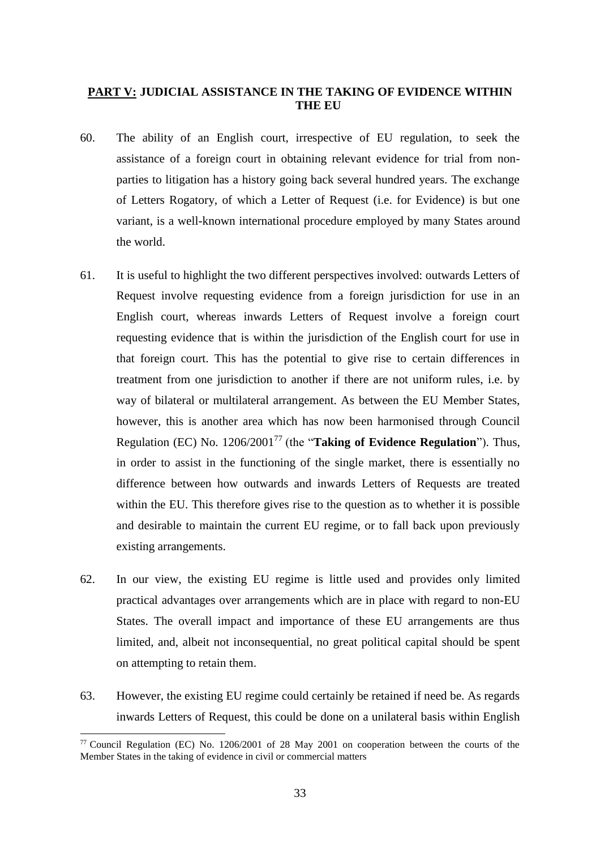### **PART V: JUDICIAL ASSISTANCE IN THE TAKING OF EVIDENCE WITHIN THE EU**

- 60. The ability of an English court, irrespective of EU regulation, to seek the assistance of a foreign court in obtaining relevant evidence for trial from nonparties to litigation has a history going back several hundred years. The exchange of Letters Rogatory, of which a Letter of Request (i.e. for Evidence) is but one variant, is a well-known international procedure employed by many States around the world.
- 61. It is useful to highlight the two different perspectives involved: outwards Letters of Request involve requesting evidence from a foreign jurisdiction for use in an English court, whereas inwards Letters of Request involve a foreign court requesting evidence that is within the jurisdiction of the English court for use in that foreign court. This has the potential to give rise to certain differences in treatment from one jurisdiction to another if there are not uniform rules, i.e. by way of bilateral or multilateral arrangement. As between the EU Member States, however, this is another area which has now been harmonised through Council Regulation (EC) No. 1206/2001<sup>77</sup> (the "**Taking of Evidence Regulation**"). Thus, in order to assist in the functioning of the single market, there is essentially no difference between how outwards and inwards Letters of Requests are treated within the EU. This therefore gives rise to the question as to whether it is possible and desirable to maintain the current EU regime, or to fall back upon previously existing arrangements.
- 62. In our view, the existing EU regime is little used and provides only limited practical advantages over arrangements which are in place with regard to non-EU States. The overall impact and importance of these EU arrangements are thus limited, and, albeit not inconsequential, no great political capital should be spent on attempting to retain them.
- 63. However, the existing EU regime could certainly be retained if need be. As regards inwards Letters of Request, this could be done on a unilateral basis within English

<sup>77</sup> Council Regulation (EC) No. 1206/2001 of 28 May 2001 on cooperation between the courts of the Member States in the taking of evidence in civil or commercial matters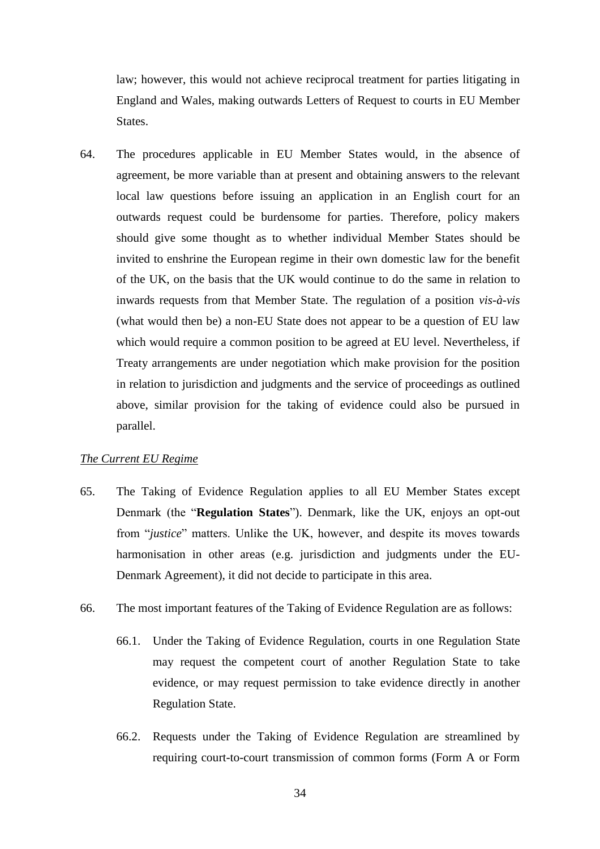law; however, this would not achieve reciprocal treatment for parties litigating in England and Wales, making outwards Letters of Request to courts in EU Member States.

64. The procedures applicable in EU Member States would, in the absence of agreement, be more variable than at present and obtaining answers to the relevant local law questions before issuing an application in an English court for an outwards request could be burdensome for parties. Therefore, policy makers should give some thought as to whether individual Member States should be invited to enshrine the European regime in their own domestic law for the benefit of the UK, on the basis that the UK would continue to do the same in relation to inwards requests from that Member State. The regulation of a position *vis-à-vis* (what would then be) a non-EU State does not appear to be a question of EU law which would require a common position to be agreed at EU level. Nevertheless, if Treaty arrangements are under negotiation which make provision for the position in relation to jurisdiction and judgments and the service of proceedings as outlined above, similar provision for the taking of evidence could also be pursued in parallel.

### *The Current EU Regime*

- 65. The Taking of Evidence Regulation applies to all EU Member States except Denmark (the "**Regulation States**"). Denmark, like the UK, enjoys an opt-out from "*justice*" matters. Unlike the UK, however, and despite its moves towards harmonisation in other areas (e.g. jurisdiction and judgments under the EU-Denmark Agreement), it did not decide to participate in this area.
- 66. The most important features of the Taking of Evidence Regulation are as follows:
	- 66.1. Under the Taking of Evidence Regulation, courts in one Regulation State may request the competent court of another Regulation State to take evidence, or may request permission to take evidence directly in another Regulation State.
	- 66.2. Requests under the Taking of Evidence Regulation are streamlined by requiring court-to-court transmission of common forms (Form A or Form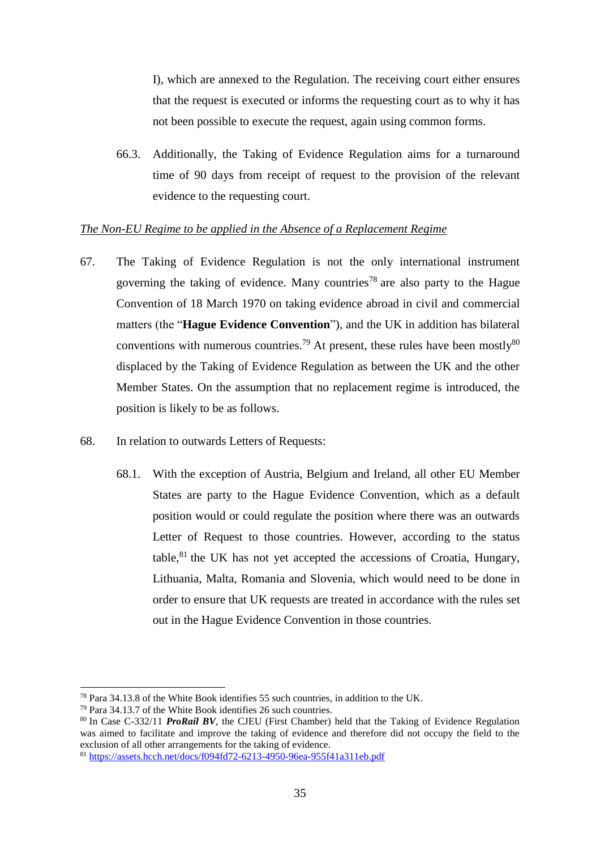I), which are annexed to the Regulation. The receiving court either ensures that the request is executed or informs the requesting court as to why it has not been possible to execute the request, again using common forms.

66.3. Additionally, the Taking of Evidence Regulation aims for a turnaround time of 90 days from receipt of request to the provision of the relevant evidence to the requesting court.

### *The Non-EU Regime to be applied in the Absence of a Replacement Regime*

- 67. The Taking of Evidence Regulation is not the only international instrument governing the taking of evidence. Many countries<sup>78</sup> are also party to the Hague Convention of 18 March 1970 on taking evidence abroad in civil and commercial matters (the "**Hague Evidence Convention**"), and the UK in addition has bilateral conventions with numerous countries.<sup>79</sup> At present, these rules have been mostly<sup>80</sup> displaced by the Taking of Evidence Regulation as between the UK and the other Member States. On the assumption that no replacement regime is introduced, the position is likely to be as follows.
- 68. In relation to outwards Letters of Requests:
	- 68.1. With the exception of Austria, Belgium and Ireland, all other EU Member States are party to the Hague Evidence Convention, which as a default position would or could regulate the position where there was an outwards Letter of Request to those countries. However, according to the status table, $81$ <sup>the UK</sup> has not yet accepted the accessions of Croatia, Hungary, Lithuania, Malta, Romania and Slovenia, which would need to be done in order to ensure that UK requests are treated in accordance with the rules set out in the Hague Evidence Convention in those countries.

<sup>78</sup> Para 34.13.8 of the White Book identifies 55 such countries, in addition to the UK.

<sup>79</sup> Para 34.13.7 of the White Book identifies 26 such countries.

<sup>80</sup> In Case C-332/11 *ProRail BV*, the CJEU (First Chamber) held that the Taking of Evidence Regulation was aimed to facilitate and improve the taking of evidence and therefore did not occupy the field to the exclusion of all other arrangements for the taking of evidence.

<sup>81</sup> <https://assets.hcch.net/docs/f094fd72-6213-4950-96ea-955f41a311eb.pdf>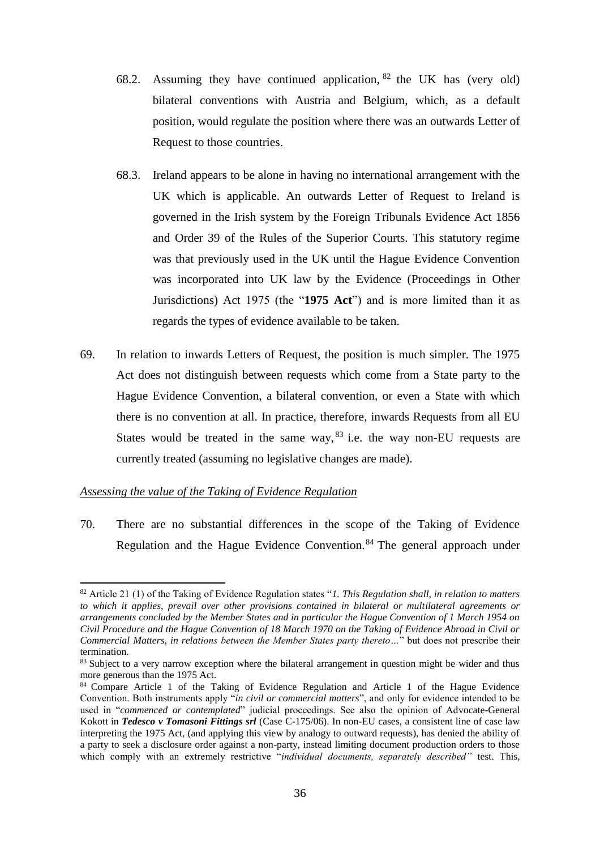- 68.2. Assuming they have continued application,  $82$  the UK has (very old) bilateral conventions with Austria and Belgium, which, as a default position, would regulate the position where there was an outwards Letter of Request to those countries.
- 68.3. Ireland appears to be alone in having no international arrangement with the UK which is applicable. An outwards Letter of Request to Ireland is governed in the Irish system by the Foreign Tribunals Evidence Act 1856 and Order 39 of the Rules of the Superior Courts. This statutory regime was that previously used in the UK until the Hague Evidence Convention was incorporated into UK law by the Evidence (Proceedings in Other Jurisdictions) Act 1975 (the "**1975 Act**") and is more limited than it as regards the types of evidence available to be taken.
- 69. In relation to inwards Letters of Request, the position is much simpler. The 1975 Act does not distinguish between requests which come from a State party to the Hague Evidence Convention, a bilateral convention, or even a State with which there is no convention at all. In practice, therefore, inwards Requests from all EU States would be treated in the same way,  $83$  i.e. the way non-EU requests are currently treated (assuming no legislative changes are made).

### *Assessing the value of the Taking of Evidence Regulation*

 $\overline{a}$ 

70. There are no substantial differences in the scope of the Taking of Evidence Regulation and the Hague Evidence Convention.<sup>84</sup> The general approach under

<sup>82</sup> Article 21 (1) of the Taking of Evidence Regulation states "*1. This Regulation shall, in relation to matters to which it applies, prevail over other provisions contained in bilateral or multilateral agreements or arrangements concluded by the Member States and in particular the Hague Convention of 1 March 1954 on Civil Procedure and the Hague Convention of 18 March 1970 on the Taking of Evidence Abroad in Civil or Commercial Matters, in relations between the Member States party thereto…*" but does not prescribe their termination.

<sup>&</sup>lt;sup>83</sup> Subject to a very narrow exception where the bilateral arrangement in question might be wider and thus more generous than the 1975 Act.

<sup>84</sup> Compare Article 1 of the Taking of Evidence Regulation and Article 1 of the Hague Evidence Convention. Both instruments apply "*in civil or commercial matters*", and only for evidence intended to be used in "*commenced or contemplated*" judicial proceedings. See also the opinion of Advocate-General Kokott in *Tedesco v Tomasoni Fittings srl* (Case C-175/06). In non-EU cases, a consistent line of case law interpreting the 1975 Act, (and applying this view by analogy to outward requests), has denied the ability of a party to seek a disclosure order against a non-party, instead limiting document production orders to those which comply with an extremely restrictive "*individual documents, separately described*" test. This,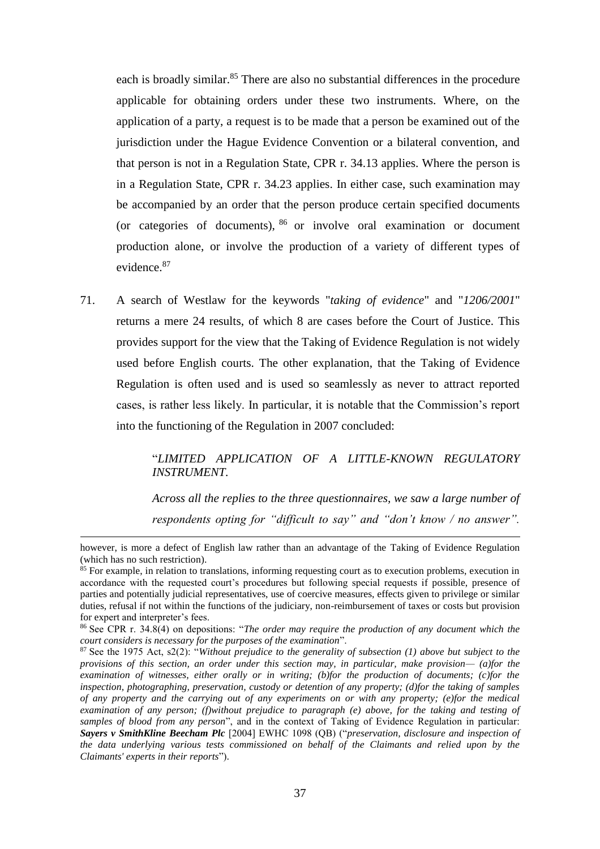each is broadly similar.<sup>85</sup> There are also no substantial differences in the procedure applicable for obtaining orders under these two instruments. Where, on the application of a party, a request is to be made that a person be examined out of the jurisdiction under the Hague Evidence Convention or a bilateral convention, and that person is not in a Regulation State, CPR r. 34.13 applies. Where the person is in a Regulation State, CPR r. 34.23 applies. In either case, such examination may be accompanied by an order that the person produce certain specified documents (or categories of documents),  $86$  or involve oral examination or document production alone, or involve the production of a variety of different types of evidence.<sup>87</sup>

71. A search of Westlaw for the keywords "*taking of evidence*" and "*1206/2001*" returns a mere 24 results, of which 8 are cases before the Court of Justice. This provides support for the view that the Taking of Evidence Regulation is not widely used before English courts. The other explanation, that the Taking of Evidence Regulation is often used and is used so seamlessly as never to attract reported cases, is rather less likely. In particular, it is notable that the Commission's report into the functioning of the Regulation in 2007 concluded:

## "*LIMITED APPLICATION OF A LITTLE-KNOWN REGULATORY INSTRUMENT.*

*Across all the replies to the three questionnaires, we saw a large number of respondents opting for "difficult to say" and "don't know / no answer".* 

however, is more a defect of English law rather than an advantage of the Taking of Evidence Regulation (which has no such restriction).

<sup>&</sup>lt;sup>85</sup> For example, in relation to translations, informing requesting court as to execution problems, execution in accordance with the requested court's procedures but following special requests if possible, presence of parties and potentially judicial representatives, use of coercive measures, effects given to privilege or similar duties, refusal if not within the functions of the judiciary, non-reimbursement of taxes or costs but provision for expert and interpreter's fees.

<sup>86</sup> See CPR r. 34.8(4) on depositions: "*The order may require the production of any document which the court considers is necessary for the purposes of the examination*".

<sup>87</sup> See the 1975 Act, s2(2): "*Without prejudice to the generality of subsection (1) above but subject to the provisions of this section, an order under this section may, in particular, make provision— (a)for the examination of witnesses, either orally or in writing; (b)for the production of documents; (c)for the inspection, photographing, preservation, custody or detention of any property; (d)for the taking of samples of any property and the carrying out of any experiments on or with any property; (e)for the medical examination of any person; (f)without prejudice to paragraph (e) above, for the taking and testing of samples of blood from any person*", and in the context of Taking of Evidence Regulation in particular: *Sayers v SmithKline Beecham Plc* [2004] EWHC 1098 (QB) ("*preservation, disclosure and inspection of the data underlying various tests commissioned on behalf of the Claimants and relied upon by the Claimants' experts in their reports*").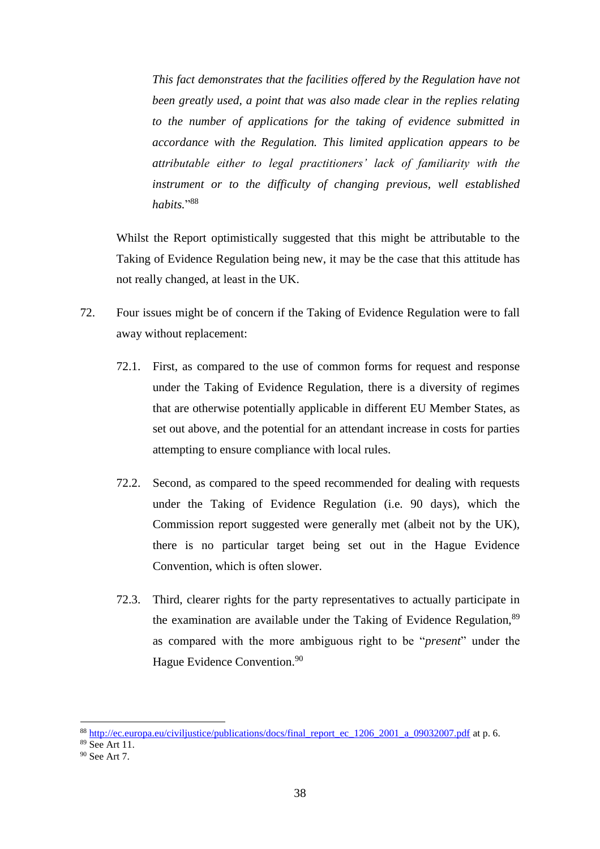*This fact demonstrates that the facilities offered by the Regulation have not been greatly used, a point that was also made clear in the replies relating to the number of applications for the taking of evidence submitted in accordance with the Regulation. This limited application appears to be attributable either to legal practitioners' lack of familiarity with the instrument or to the difficulty of changing previous, well established habits.*" 88

Whilst the Report optimistically suggested that this might be attributable to the Taking of Evidence Regulation being new, it may be the case that this attitude has not really changed, at least in the UK.

- 72. Four issues might be of concern if the Taking of Evidence Regulation were to fall away without replacement:
	- 72.1. First, as compared to the use of common forms for request and response under the Taking of Evidence Regulation, there is a diversity of regimes that are otherwise potentially applicable in different EU Member States, as set out above, and the potential for an attendant increase in costs for parties attempting to ensure compliance with local rules.
	- 72.2. Second, as compared to the speed recommended for dealing with requests under the Taking of Evidence Regulation (i.e. 90 days), which the Commission report suggested were generally met (albeit not by the UK), there is no particular target being set out in the Hague Evidence Convention, which is often slower.
	- 72.3. Third, clearer rights for the party representatives to actually participate in the examination are available under the Taking of Evidence Regulation, <sup>89</sup> as compared with the more ambiguous right to be "*present*" under the Hague Evidence Convention. 90

 $\overline{a}$ 

<sup>88</sup> [http://ec.europa.eu/civiljustice/publications/docs/final\\_report\\_ec\\_1206\\_2001\\_a\\_09032007.pdf](http://ec.europa.eu/civiljustice/publications/docs/final_report_ec_1206_2001_a_09032007.pdf) at p. 6.

<sup>89</sup> See Art 11.

<sup>90</sup> See Art 7.